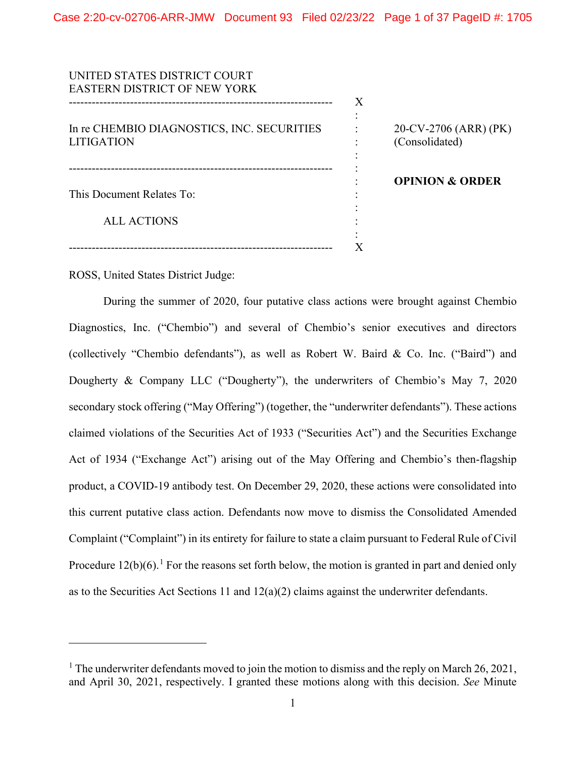| UNITED STATES DISTRICT COURT               |   |                            |
|--------------------------------------------|---|----------------------------|
| <b>EASTERN DISTRICT OF NEW YORK</b>        |   |                            |
|                                            | X |                            |
|                                            |   |                            |
| In re CHEMBIO DIAGNOSTICS, INC. SECURITIES |   | 20-CV-2706 (ARR) (PK)      |
| <b>LITIGATION</b>                          |   | (Consolidated)             |
|                                            |   |                            |
|                                            |   |                            |
|                                            |   | <b>OPINION &amp; ORDER</b> |
| This Document Relates To:                  |   |                            |
|                                            |   |                            |
| ALL ACTIONS                                |   |                            |
|                                            |   |                            |
|                                            |   |                            |

ROSS, United States District Judge:

During the summer of 2020, four putative class actions were brought against Chembio Diagnostics, Inc. ("Chembio") and several of Chembio's senior executives and directors (collectively "Chembio defendants"), as well as Robert W. Baird & Co. Inc. ("Baird") and Dougherty & Company LLC ("Dougherty"), the underwriters of Chembio's May 7, 2020 secondary stock offering ("May Offering") (together, the "underwriter defendants"). These actions claimed violations of the Securities Act of 1933 ("Securities Act") and the Securities Exchange Act of 1934 ("Exchange Act") arising out of the May Offering and Chembio's then-flagship product, a COVID-19 antibody test. On December 29, 2020, these actions were consolidated into this current putative class action. Defendants now move to dismiss the Consolidated Amended Complaint ("Complaint") in its entirety for failure to state a claim pursuant to Federal Rule of Civil Procedure  $12(b)(6)$ .<sup>1</sup> For the reasons set forth below, the motion is granted in part and denied only as to the Securities Act Sections 11 and 12(a)(2) claims against the underwriter defendants.

<sup>&</sup>lt;sup>1</sup> The underwriter defendants moved to join the motion to dismiss and the reply on March 26, 2021, and April 30, 2021, respectively. I granted these motions along with this decision. *See* Minute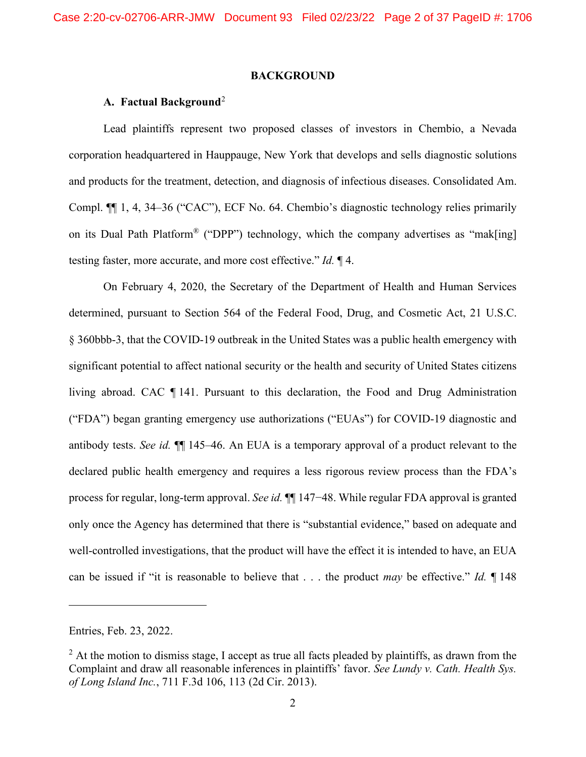#### **BACKGROUND**

# **A. Factual Background**<sup>2</sup>

Lead plaintiffs represent two proposed classes of investors in Chembio, a Nevada corporation headquartered in Hauppauge, New York that develops and sells diagnostic solutions and products for the treatment, detection, and diagnosis of infectious diseases. Consolidated Am. Compl. ¶¶ 1, 4, 34–36 ("CAC"), ECF No. 64. Chembio's diagnostic technology relies primarily on its Dual Path Platform® ("DPP") technology, which the company advertises as "mak[ing] testing faster, more accurate, and more cost effective." *Id.* ¶ 4.

On February 4, 2020, the Secretary of the Department of Health and Human Services determined, pursuant to Section 564 of the Federal Food, Drug, and Cosmetic Act, 21 U.S.C. § 360bbb-3, that the COVID-19 outbreak in the United States was a public health emergency with significant potential to affect national security or the health and security of United States citizens living abroad. CAC ¶ 141. Pursuant to this declaration, the Food and Drug Administration ("FDA") began granting emergency use authorizations ("EUAs") for COVID-19 diagnostic and antibody tests. *See id.* ¶¶ 145–46. An EUA is a temporary approval of a product relevant to the declared public health emergency and requires a less rigorous review process than the FDA's process for regular, long-term approval. *See id.* ¶¶ 147−48. While regular FDA approval is granted only once the Agency has determined that there is "substantial evidence," based on adequate and well-controlled investigations, that the product will have the effect it is intended to have, an EUA can be issued if "it is reasonable to believe that . . . the product *may* be effective." *Id.* ¶ 148

Entries, Feb. 23, 2022.

 $<sup>2</sup>$  At the motion to dismiss stage, I accept as true all facts pleaded by plaintiffs, as drawn from the</sup> Complaint and draw all reasonable inferences in plaintiffs' favor. *See Lundy v. Cath. Health Sys. of Long Island Inc.*, 711 F.3d 106, 113 (2d Cir. 2013).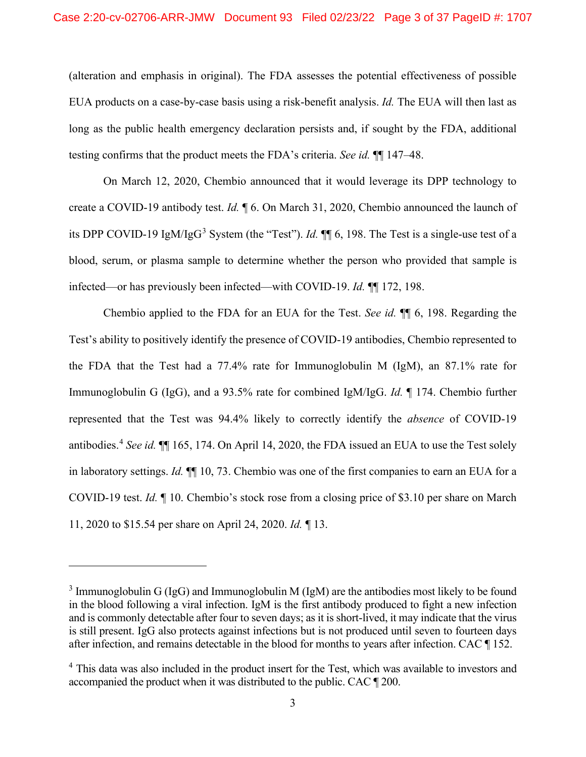(alteration and emphasis in original). The FDA assesses the potential effectiveness of possible EUA products on a case-by-case basis using a risk-benefit analysis. *Id.* The EUA will then last as long as the public health emergency declaration persists and, if sought by the FDA, additional testing confirms that the product meets the FDA's criteria. *See id.* ¶¶ 147–48.

On March 12, 2020, Chembio announced that it would leverage its DPP technology to create a COVID-19 antibody test. *Id.* ¶ 6. On March 31, 2020, Chembio announced the launch of its DPP COVID-19 IgM/IgG<sup>3</sup> System (the "Test"). *Id.* ¶¶ 6, 198. The Test is a single-use test of a blood, serum, or plasma sample to determine whether the person who provided that sample is infected—or has previously been infected—with COVID-19. *Id.* ¶¶ 172, 198.

Chembio applied to the FDA for an EUA for the Test. *See id.* ¶¶ 6, 198. Regarding the Test's ability to positively identify the presence of COVID-19 antibodies, Chembio represented to the FDA that the Test had a 77.4% rate for Immunoglobulin M (IgM), an 87.1% rate for Immunoglobulin G (IgG), and a 93.5% rate for combined IgM/IgG. *Id.* ¶ 174. Chembio further represented that the Test was 94.4% likely to correctly identify the *absence* of COVID-19 antibodies. <sup>4</sup> *See id.* ¶¶ 165, 174. On April 14, 2020, the FDA issued an EUA to use the Test solely in laboratory settings. *Id.* ¶¶ 10, 73. Chembio was one of the first companies to earn an EUA for a COVID-19 test. *Id.* ¶ 10. Chembio's stock rose from a closing price of \$3.10 per share on March 11, 2020 to \$15.54 per share on April 24, 2020. *Id.* ¶ 13.

 $3 \text{ Immunoglobulin G (IgG) and Immunoglobulin M (IgM) are the antibodies most likely to be found.}$ in the blood following a viral infection. IgM is the first antibody produced to fight a new infection and is commonly detectable after four to seven days; as it is short-lived, it may indicate that the virus is still present. IgG also protects against infections but is not produced until seven to fourteen days after infection, and remains detectable in the blood for months to years after infection. CAC ¶ 152.

<sup>&</sup>lt;sup>4</sup> This data was also included in the product insert for the Test, which was available to investors and accompanied the product when it was distributed to the public. CAC ¶ 200.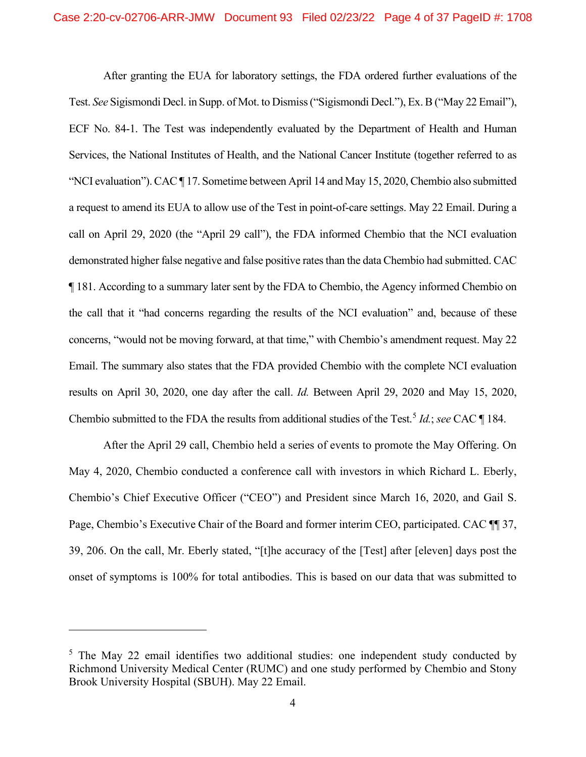After granting the EUA for laboratory settings, the FDA ordered further evaluations of the Test. *See* Sigismondi Decl. in Supp. of Mot. to Dismiss ("Sigismondi Decl."), Ex. B ("May 22 Email"), ECF No. 84-1. The Test was independently evaluated by the Department of Health and Human Services, the National Institutes of Health, and the National Cancer Institute (together referred to as "NCI evaluation"). CAC ¶ 17. Sometime between April 14 and May 15, 2020, Chembio also submitted a request to amend its EUA to allow use of the Test in point-of-care settings. May 22 Email. During a call on April 29, 2020 (the "April 29 call"), the FDA informed Chembio that the NCI evaluation demonstrated higher false negative and false positive rates than the data Chembio had submitted. CAC ¶ 181. According to a summary later sent by the FDA to Chembio, the Agency informed Chembio on the call that it "had concerns regarding the results of the NCI evaluation" and, because of these concerns, "would not be moving forward, at that time," with Chembio's amendment request. May 22 Email. The summary also states that the FDA provided Chembio with the complete NCI evaluation results on April 30, 2020, one day after the call. *Id.* Between April 29, 2020 and May 15, 2020, Chembio submitted to the FDA the results from additional studies of the Test.<sup>5</sup> *Id.*; *see* CAC ¶ 184.

After the April 29 call, Chembio held a series of events to promote the May Offering. On May 4, 2020, Chembio conducted a conference call with investors in which Richard L. Eberly, Chembio's Chief Executive Officer ("CEO") and President since March 16, 2020, and Gail S. Page, Chembio's Executive Chair of the Board and former interim CEO, participated. CAC ¶¶ 37, 39, 206. On the call, Mr. Eberly stated, "[t]he accuracy of the [Test] after [eleven] days post the onset of symptoms is 100% for total antibodies. This is based on our data that was submitted to

<sup>&</sup>lt;sup>5</sup> The May 22 email identifies two additional studies: one independent study conducted by Richmond University Medical Center (RUMC) and one study performed by Chembio and Stony Brook University Hospital (SBUH). May 22 Email.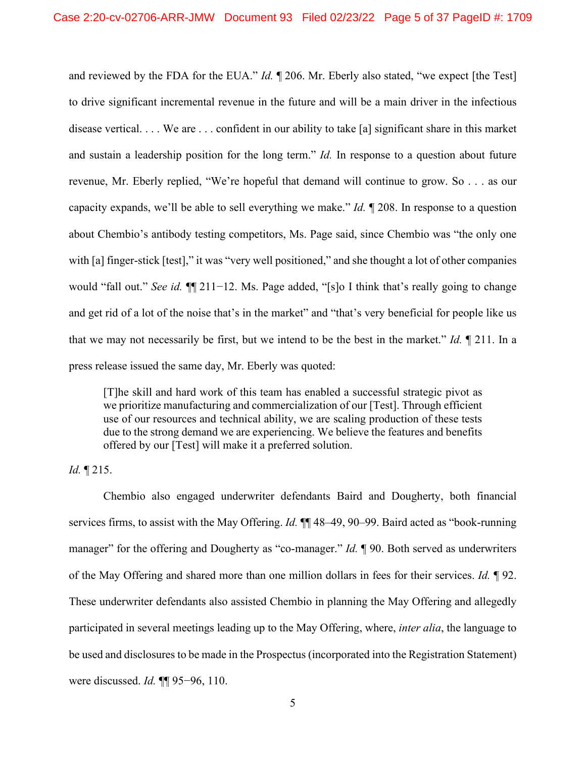and reviewed by the FDA for the EUA." *Id.* ¶ 206. Mr. Eberly also stated, "we expect [the Test] to drive significant incremental revenue in the future and will be a main driver in the infectious disease vertical. . . . We are . . . confident in our ability to take [a] significant share in this market and sustain a leadership position for the long term." *Id.* In response to a question about future revenue, Mr. Eberly replied, "We're hopeful that demand will continue to grow. So . . . as our capacity expands, we'll be able to sell everything we make." *Id.* ¶ 208. In response to a question about Chembio's antibody testing competitors, Ms. Page said, since Chembio was "the only one with [a] finger-stick [test]," it was "very well positioned," and she thought a lot of other companies would "fall out." *See id.* ¶¶ 211−12. Ms. Page added, "[s]o I think that's really going to change and get rid of a lot of the noise that's in the market" and "that's very beneficial for people like us that we may not necessarily be first, but we intend to be the best in the market." *Id.* ¶ 211. In a press release issued the same day, Mr. Eberly was quoted:

[T]he skill and hard work of this team has enabled a successful strategic pivot as we prioritize manufacturing and commercialization of our [Test]. Through efficient use of our resources and technical ability, we are scaling production of these tests due to the strong demand we are experiencing. We believe the features and benefits offered by our [Test] will make it a preferred solution.

*Id.* ¶ 215.

Chembio also engaged underwriter defendants Baird and Dougherty, both financial services firms, to assist with the May Offering. *Id.* ¶¶ 48–49, 90–99. Baird acted as "book-running manager" for the offering and Dougherty as "co-manager." *Id.* ¶ 90. Both served as underwriters of the May Offering and shared more than one million dollars in fees for their services. *Id.* ¶ 92. These underwriter defendants also assisted Chembio in planning the May Offering and allegedly participated in several meetings leading up to the May Offering, where, *inter alia*, the language to be used and disclosures to be made in the Prospectus (incorporated into the Registration Statement) were discussed. *Id.* ¶¶ 95−96, 110.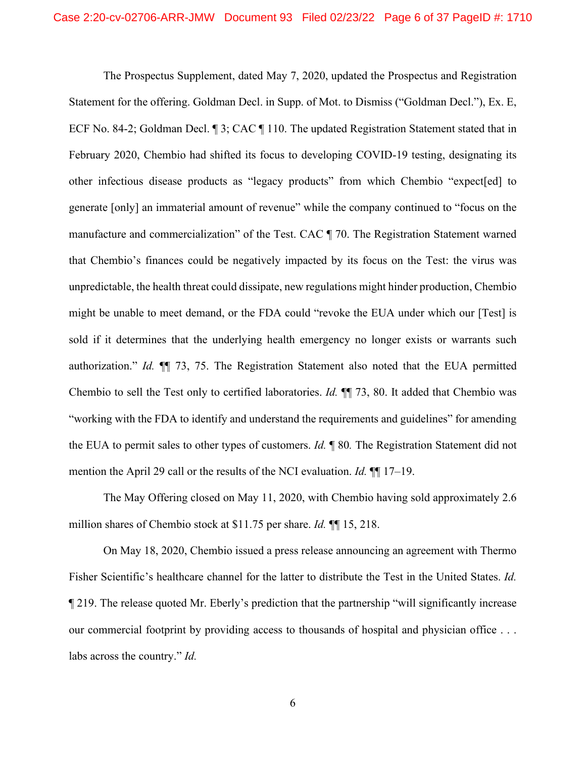The Prospectus Supplement, dated May 7, 2020, updated the Prospectus and Registration Statement for the offering. Goldman Decl. in Supp. of Mot. to Dismiss ("Goldman Decl."), Ex. E, ECF No. 84-2; Goldman Decl. ¶ 3; CAC ¶ 110. The updated Registration Statement stated that in February 2020, Chembio had shifted its focus to developing COVID-19 testing, designating its other infectious disease products as "legacy products" from which Chembio "expect[ed] to generate [only] an immaterial amount of revenue" while the company continued to "focus on the manufacture and commercialization" of the Test. CAC ¶ 70. The Registration Statement warned that Chembio's finances could be negatively impacted by its focus on the Test: the virus was unpredictable, the health threat could dissipate, new regulations might hinder production, Chembio might be unable to meet demand, or the FDA could "revoke the EUA under which our [Test] is sold if it determines that the underlying health emergency no longer exists or warrants such authorization." *Id.* ¶¶ 73, 75. The Registration Statement also noted that the EUA permitted Chembio to sell the Test only to certified laboratories. *Id.* ¶¶ 73, 80. It added that Chembio was "working with the FDA to identify and understand the requirements and guidelines" for amending the EUA to permit sales to other types of customers. *Id.* ¶ 80*.* The Registration Statement did not mention the April 29 call or the results of the NCI evaluation. *Id.* ¶¶ 17–19.

The May Offering closed on May 11, 2020, with Chembio having sold approximately 2.6 million shares of Chembio stock at \$11.75 per share. *Id.* ¶¶ 15, 218.

On May 18, 2020, Chembio issued a press release announcing an agreement with Thermo Fisher Scientific's healthcare channel for the latter to distribute the Test in the United States. *Id.* ¶ 219. The release quoted Mr. Eberly's prediction that the partnership "will significantly increase our commercial footprint by providing access to thousands of hospital and physician office . . . labs across the country." *Id.*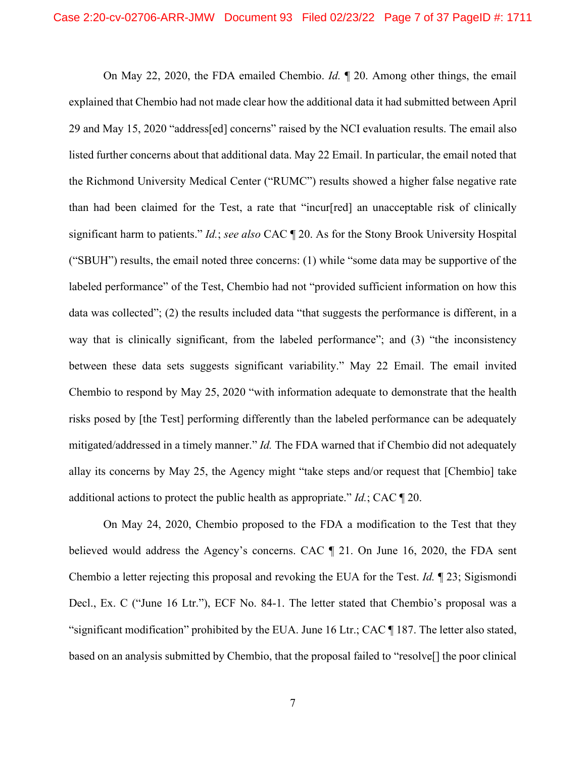On May 22, 2020, the FDA emailed Chembio. *Id.* ¶ 20. Among other things, the email explained that Chembio had not made clear how the additional data it had submitted between April 29 and May 15, 2020 "address[ed] concerns" raised by the NCI evaluation results. The email also listed further concerns about that additional data. May 22 Email. In particular, the email noted that the Richmond University Medical Center ("RUMC") results showed a higher false negative rate than had been claimed for the Test, a rate that "incur[red] an unacceptable risk of clinically significant harm to patients." *Id.*; *see also* CAC ¶ 20. As for the Stony Brook University Hospital ("SBUH") results, the email noted three concerns: (1) while "some data may be supportive of the labeled performance" of the Test, Chembio had not "provided sufficient information on how this data was collected"; (2) the results included data "that suggests the performance is different, in a way that is clinically significant, from the labeled performance"; and (3) "the inconsistency between these data sets suggests significant variability." May 22 Email. The email invited Chembio to respond by May 25, 2020 "with information adequate to demonstrate that the health risks posed by [the Test] performing differently than the labeled performance can be adequately mitigated/addressed in a timely manner." *Id.* The FDA warned that if Chembio did not adequately allay its concerns by May 25, the Agency might "take steps and/or request that [Chembio] take additional actions to protect the public health as appropriate." *Id.*; CAC ¶ 20.

On May 24, 2020, Chembio proposed to the FDA a modification to the Test that they believed would address the Agency's concerns. CAC ¶ 21. On June 16, 2020, the FDA sent Chembio a letter rejecting this proposal and revoking the EUA for the Test. *Id.* ¶ 23; Sigismondi Decl., Ex. C ("June 16 Ltr."), ECF No. 84-1. The letter stated that Chembio's proposal was a "significant modification" prohibited by the EUA. June 16 Ltr.; CAC ¶ 187. The letter also stated, based on an analysis submitted by Chembio, that the proposal failed to "resolve[] the poor clinical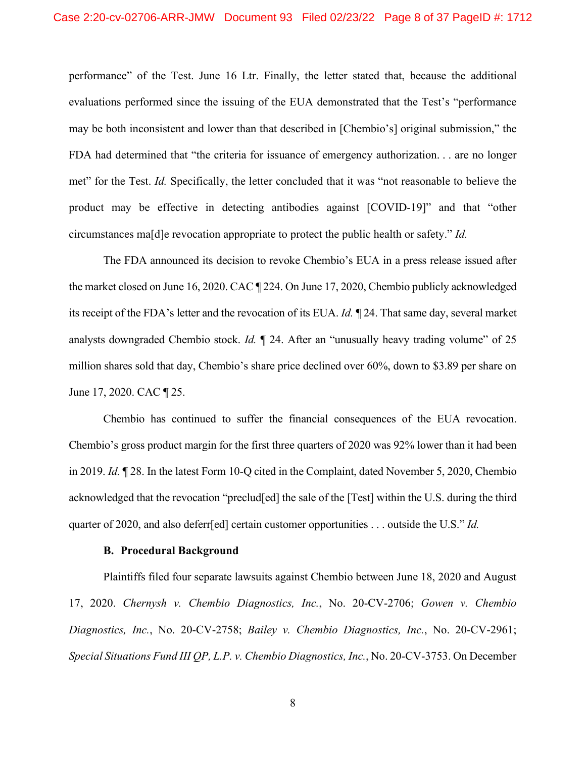performance" of the Test. June 16 Ltr. Finally, the letter stated that, because the additional evaluations performed since the issuing of the EUA demonstrated that the Test's "performance may be both inconsistent and lower than that described in [Chembio's] original submission," the FDA had determined that "the criteria for issuance of emergency authorization. . . are no longer met" for the Test. *Id.* Specifically, the letter concluded that it was "not reasonable to believe the product may be effective in detecting antibodies against [COVID-19]" and that "other circumstances ma[d]e revocation appropriate to protect the public health or safety." *Id.*

The FDA announced its decision to revoke Chembio's EUA in a press release issued after the market closed on June 16, 2020. CAC ¶ 224. On June 17, 2020, Chembio publicly acknowledged its receipt of the FDA's letter and the revocation of its EUA. *Id.* ¶ 24. That same day, several market analysts downgraded Chembio stock. *Id.* ¶ 24. After an "unusually heavy trading volume" of 25 million shares sold that day, Chembio's share price declined over 60%, down to \$3.89 per share on June 17, 2020. CAC ¶ 25.

Chembio has continued to suffer the financial consequences of the EUA revocation. Chembio's gross product margin for the first three quarters of 2020 was 92% lower than it had been in 2019. *Id.* ¶ 28. In the latest Form 10-Q cited in the Complaint, dated November 5, 2020, Chembio acknowledged that the revocation "preclud[ed] the sale of the [Test] within the U.S. during the third quarter of 2020, and also deferr[ed] certain customer opportunities . . . outside the U.S." *Id.*

#### **B. Procedural Background**

Plaintiffs filed four separate lawsuits against Chembio between June 18, 2020 and August 17, 2020. *Chernysh v. Chembio Diagnostics, Inc.*, No. 20-CV-2706; *Gowen v. Chembio Diagnostics, Inc.*, No. 20-CV-2758; *Bailey v. Chembio Diagnostics, Inc.*, No. 20-CV-2961; *Special Situations Fund III QP, L.P. v. Chembio Diagnostics, Inc.*, No. 20-CV-3753. On December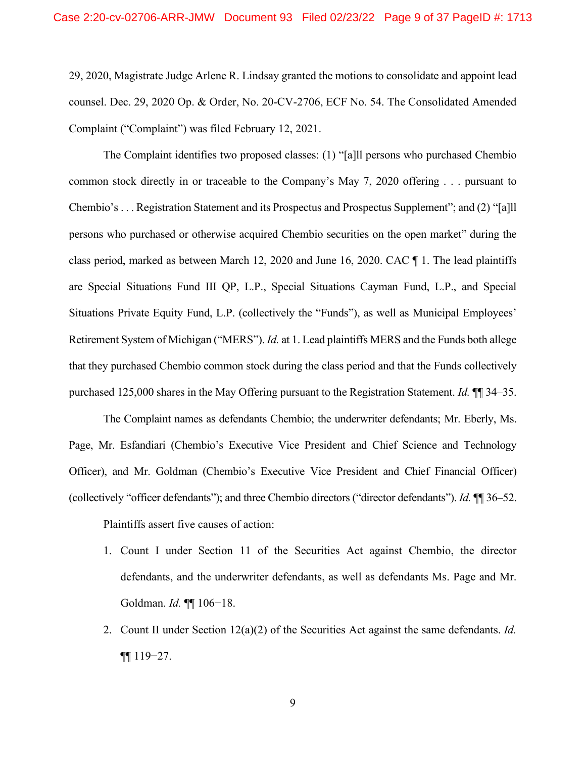29, 2020, Magistrate Judge Arlene R. Lindsay granted the motions to consolidate and appoint lead counsel. Dec. 29, 2020 Op. & Order, No. 20-CV-2706, ECF No. 54. The Consolidated Amended Complaint ("Complaint") was filed February 12, 2021.

The Complaint identifies two proposed classes: (1) "[a]ll persons who purchased Chembio common stock directly in or traceable to the Company's May 7, 2020 offering . . . pursuant to Chembio's . . . Registration Statement and its Prospectus and Prospectus Supplement"; and (2) "[a]ll persons who purchased or otherwise acquired Chembio securities on the open market" during the class period, marked as between March 12, 2020 and June 16, 2020. CAC ¶ 1. The lead plaintiffs are Special Situations Fund III QP, L.P., Special Situations Cayman Fund, L.P., and Special Situations Private Equity Fund, L.P. (collectively the "Funds"), as well as Municipal Employees' Retirement System of Michigan ("MERS"). *Id.* at 1. Lead plaintiffs MERS and the Funds both allege that they purchased Chembio common stock during the class period and that the Funds collectively purchased 125,000 shares in the May Offering pursuant to the Registration Statement. *Id.* ¶¶ 34–35.

The Complaint names as defendants Chembio; the underwriter defendants; Mr. Eberly, Ms. Page, Mr. Esfandiari (Chembio's Executive Vice President and Chief Science and Technology Officer), and Mr. Goldman (Chembio's Executive Vice President and Chief Financial Officer) (collectively "officer defendants"); and three Chembio directors ("director defendants"). *Id.* ¶¶ 36–52. Plaintiffs assert five causes of action:

- 1. Count I under Section 11 of the Securities Act against Chembio, the director defendants, and the underwriter defendants, as well as defendants Ms. Page and Mr. Goldman. *Id.* ¶¶ 106−18.
- 2. Count II under Section 12(a)(2) of the Securities Act against the same defendants. *Id.* ¶¶ 119−27.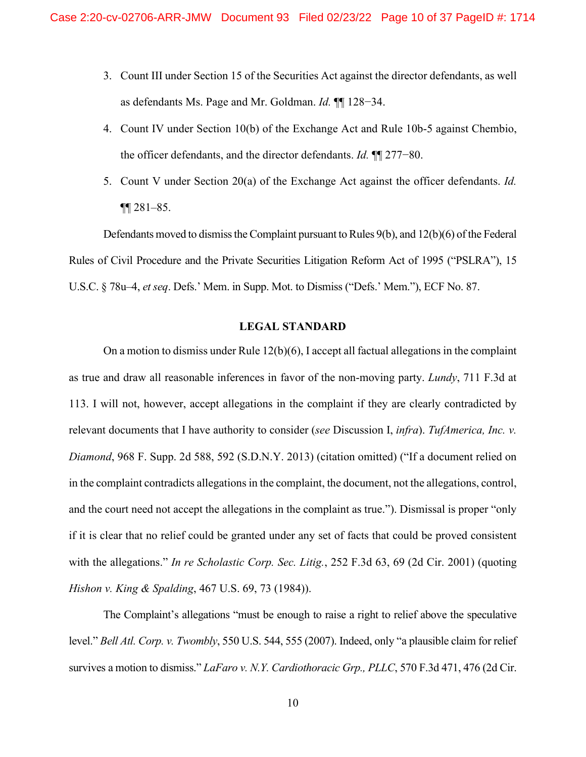- 3. Count III under Section 15 of the Securities Act against the director defendants, as well as defendants Ms. Page and Mr. Goldman. *Id.* ¶¶ 128−34.
- 4. Count IV under Section 10(b) of the Exchange Act and Rule 10b-5 against Chembio, the officer defendants, and the director defendants. *Id.* ¶¶ 277−80.
- 5. Count V under Section 20(a) of the Exchange Act against the officer defendants. *Id.*  $\P$ [ $\sqrt{281-85}$ .

Defendants moved to dismiss the Complaint pursuant to Rules 9(b), and 12(b)(6) of the Federal Rules of Civil Procedure and the Private Securities Litigation Reform Act of 1995 ("PSLRA"), 15 U.S.C. § 78u–4, *et seq*. Defs.' Mem. in Supp. Mot. to Dismiss ("Defs.' Mem."), ECF No. 87.

## **LEGAL STANDARD**

On a motion to dismiss under Rule 12(b)(6), I accept all factual allegations in the complaint as true and draw all reasonable inferences in favor of the non-moving party. *Lundy*, 711 F.3d at 113. I will not, however, accept allegations in the complaint if they are clearly contradicted by relevant documents that I have authority to consider (*see* Discussion I, *infra*). *TufAmerica, Inc. v. Diamond*, 968 F. Supp. 2d 588, 592 (S.D.N.Y. 2013) (citation omitted) ("If a document relied on in the complaint contradicts allegations in the complaint, the document, not the allegations, control, and the court need not accept the allegations in the complaint as true."). Dismissal is proper "only if it is clear that no relief could be granted under any set of facts that could be proved consistent with the allegations." *In re Scholastic Corp. Sec. Litig.*, 252 F.3d 63, 69 (2d Cir. 2001) (quoting *Hishon v. King & Spalding*, 467 U.S. 69, 73 (1984)).

The Complaint's allegations "must be enough to raise a right to relief above the speculative level." *Bell Atl. Corp. v. Twombly*, 550 U.S. 544, 555 (2007). Indeed, only "a plausible claim for relief survives a motion to dismiss." *LaFaro v. N.Y. Cardiothoracic Grp., PLLC*, 570 F.3d 471, 476 (2d Cir.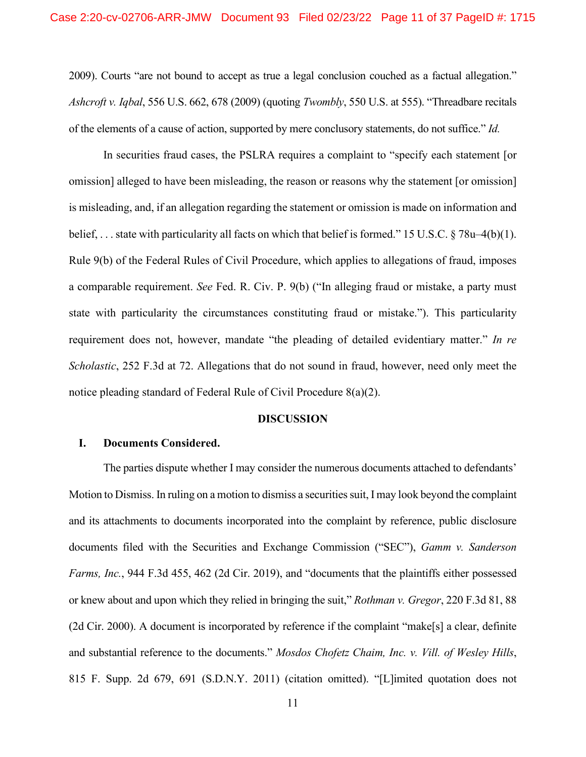2009). Courts "are not bound to accept as true a legal conclusion couched as a factual allegation." *Ashcroft v. Iqbal*, 556 U.S. 662, 678 (2009) (quoting *Twombly*, 550 U.S. at 555). "Threadbare recitals of the elements of a cause of action, supported by mere conclusory statements, do not suffice." *Id.*

In securities fraud cases, the PSLRA requires a complaint to "specify each statement [or omission] alleged to have been misleading, the reason or reasons why the statement [or omission] is misleading, and, if an allegation regarding the statement or omission is made on information and belief, . . . state with particularity all facts on which that belief is formed." 15 U.S.C. § 78u–4(b)(1). Rule 9(b) of the Federal Rules of Civil Procedure, which applies to allegations of fraud, imposes a comparable requirement. *See* Fed. R. Civ. P. 9(b) ("In alleging fraud or mistake, a party must state with particularity the circumstances constituting fraud or mistake."). This particularity requirement does not, however, mandate "the pleading of detailed evidentiary matter." *In re Scholastic*, 252 F.3d at 72. Allegations that do not sound in fraud, however, need only meet the notice pleading standard of Federal Rule of Civil Procedure 8(a)(2).

#### **DISCUSSION**

## **I. Documents Considered.**

The parties dispute whether I may consider the numerous documents attached to defendants' Motion to Dismiss. In ruling on a motion to dismiss a securities suit, I may look beyond the complaint and its attachments to documents incorporated into the complaint by reference, public disclosure documents filed with the Securities and Exchange Commission ("SEC"), *Gamm v. Sanderson Farms, Inc.*, 944 F.3d 455, 462 (2d Cir. 2019), and "documents that the plaintiffs either possessed or knew about and upon which they relied in bringing the suit," *Rothman v. Gregor*, 220 F.3d 81, 88 (2d Cir. 2000). A document is incorporated by reference if the complaint "make[s] a clear, definite and substantial reference to the documents." *Mosdos Chofetz Chaim, Inc. v. Vill. of Wesley Hills*, 815 F. Supp. 2d 679, 691 (S.D.N.Y. 2011) (citation omitted). "[L]imited quotation does not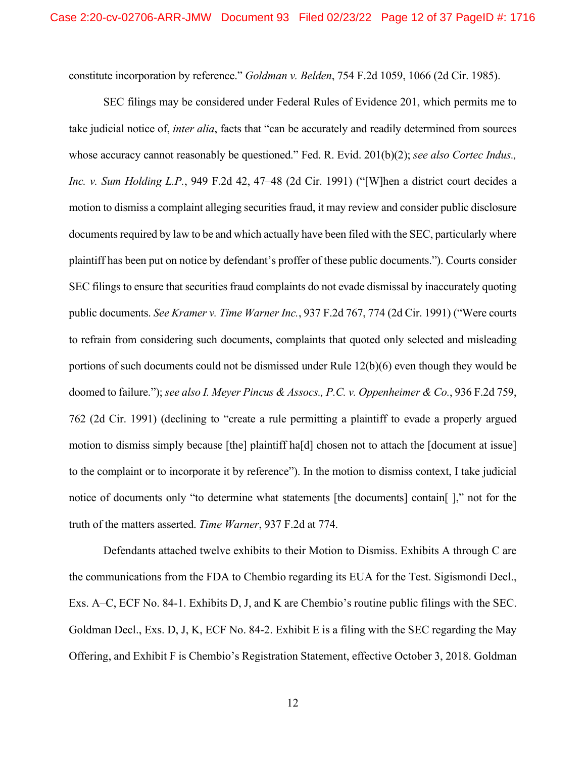constitute incorporation by reference." *Goldman v. Belden*, 754 F.2d 1059, 1066 (2d Cir. 1985).

SEC filings may be considered under Federal Rules of Evidence 201, which permits me to take judicial notice of, *inter alia*, facts that "can be accurately and readily determined from sources whose accuracy cannot reasonably be questioned." Fed. R. Evid. 201(b)(2); *see also Cortec Indus., Inc. v. Sum Holding L.P.*, 949 F.2d 42, 47–48 (2d Cir. 1991) ("[W]hen a district court decides a motion to dismiss a complaint alleging securities fraud, it may review and consider public disclosure documents required by law to be and which actually have been filed with the SEC, particularly where plaintiff has been put on notice by defendant's proffer of these public documents."). Courts consider SEC filings to ensure that securities fraud complaints do not evade dismissal by inaccurately quoting public documents. *See Kramer v. Time Warner Inc.*, 937 F.2d 767, 774 (2d Cir. 1991) ("Were courts to refrain from considering such documents, complaints that quoted only selected and misleading portions of such documents could not be dismissed under Rule 12(b)(6) even though they would be doomed to failure."); *see also I. Meyer Pincus & Assocs., P.C. v. Oppenheimer & Co.*, 936 F.2d 759, 762 (2d Cir. 1991) (declining to "create a rule permitting a plaintiff to evade a properly argued motion to dismiss simply because [the] plaintiff ha[d] chosen not to attach the [document at issue] to the complaint or to incorporate it by reference"). In the motion to dismiss context, I take judicial notice of documents only "to determine what statements [the documents] contain[ ]," not for the truth of the matters asserted. *Time Warner*, 937 F.2d at 774.

Defendants attached twelve exhibits to their Motion to Dismiss. Exhibits A through C are the communications from the FDA to Chembio regarding its EUA for the Test. Sigismondi Decl., Exs. A–C, ECF No. 84-1. Exhibits D, J, and K are Chembio's routine public filings with the SEC. Goldman Decl., Exs. D, J, K, ECF No. 84-2. Exhibit E is a filing with the SEC regarding the May Offering, and Exhibit F is Chembio's Registration Statement, effective October 3, 2018. Goldman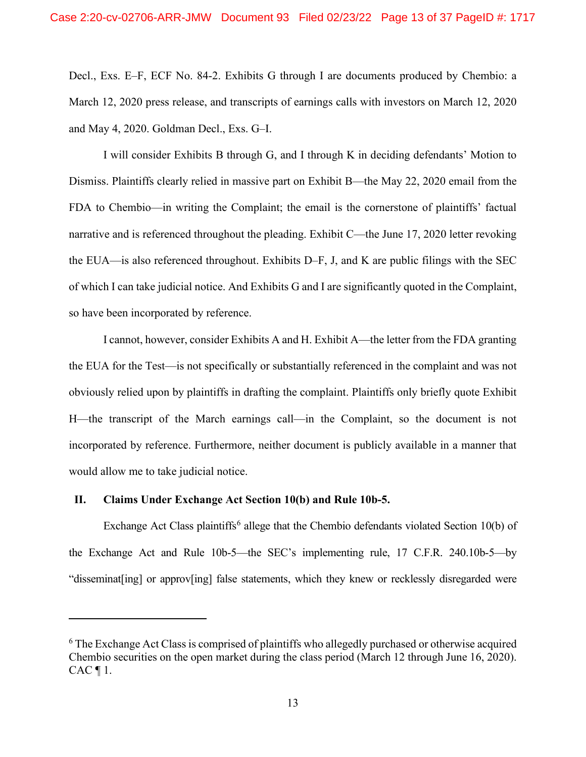Decl., Exs. E–F, ECF No. 84-2. Exhibits G through I are documents produced by Chembio: a March 12, 2020 press release, and transcripts of earnings calls with investors on March 12, 2020 and May 4, 2020. Goldman Decl., Exs. G–I.

I will consider Exhibits B through G, and I through K in deciding defendants' Motion to Dismiss. Plaintiffs clearly relied in massive part on Exhibit B—the May 22, 2020 email from the FDA to Chembio—in writing the Complaint; the email is the cornerstone of plaintiffs' factual narrative and is referenced throughout the pleading. Exhibit C—the June 17, 2020 letter revoking the EUA—is also referenced throughout. Exhibits D–F, J, and K are public filings with the SEC of which I can take judicial notice. And Exhibits G and I are significantly quoted in the Complaint, so have been incorporated by reference.

I cannot, however, consider Exhibits A and H. Exhibit A—the letter from the FDA granting the EUA for the Test—is not specifically or substantially referenced in the complaint and was not obviously relied upon by plaintiffs in drafting the complaint. Plaintiffs only briefly quote Exhibit H—the transcript of the March earnings call—in the Complaint, so the document is not incorporated by reference. Furthermore, neither document is publicly available in a manner that would allow me to take judicial notice.

## **II. Claims Under Exchange Act Section 10(b) and Rule 10b-5.**

Exchange Act Class plaintiffs<sup>6</sup> allege that the Chembio defendants violated Section 10(b) of the Exchange Act and Rule 10b-5—the SEC's implementing rule, 17 C.F.R. 240.10b-5—by "disseminat[ing] or approv[ing] false statements, which they knew or recklessly disregarded were

<sup>&</sup>lt;sup>6</sup> The Exchange Act Class is comprised of plaintiffs who allegedly purchased or otherwise acquired Chembio securities on the open market during the class period (March 12 through June 16, 2020).  $CAC \parallel 1$ .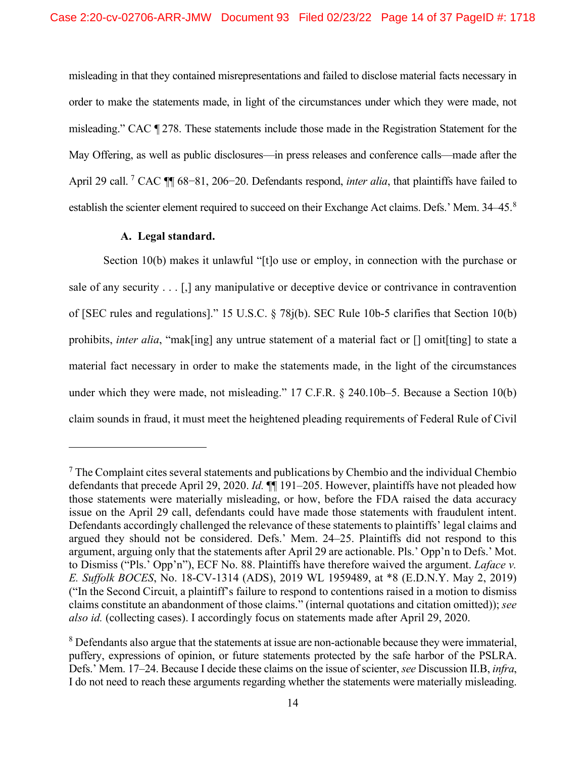misleading in that they contained misrepresentations and failed to disclose material facts necessary in order to make the statements made, in light of the circumstances under which they were made, not misleading." CAC ¶ 278. These statements include those made in the Registration Statement for the May Offering, as well as public disclosures—in press releases and conference calls—made after the April 29 call. <sup>7</sup> CAC ¶¶ 68−81, 206−20. Defendants respond, *inter alia*, that plaintiffs have failed to establish the scienter element required to succeed on their Exchange Act claims. Defs.' Mem. 34–45.<sup>8</sup>

# **A. Legal standard.**

Section 10(b) makes it unlawful "[t]o use or employ, in connection with the purchase or sale of any security . . . [,] any manipulative or deceptive device or contrivance in contravention of [SEC rules and regulations]." 15 U.S.C. § 78j(b). SEC Rule 10b-5 clarifies that Section 10(b) prohibits, *inter alia*, "mak[ing] any untrue statement of a material fact or [] omit[ting] to state a material fact necessary in order to make the statements made, in the light of the circumstances under which they were made, not misleading." 17 C.F.R. § 240.10b–5. Because a Section 10(b) claim sounds in fraud, it must meet the heightened pleading requirements of Federal Rule of Civil

 $<sup>7</sup>$  The Complaint cites several statements and publications by Chembio and the individual Chembio</sup> defendants that precede April 29, 2020. *Id.* ¶¶ 191–205. However, plaintiffs have not pleaded how those statements were materially misleading, or how, before the FDA raised the data accuracy issue on the April 29 call, defendants could have made those statements with fraudulent intent. Defendants accordingly challenged the relevance of these statements to plaintiffs' legal claims and argued they should not be considered. Defs.' Mem. 24–25. Plaintiffs did not respond to this argument, arguing only that the statements after April 29 are actionable. Pls.' Opp'n to Defs.' Mot. to Dismiss ("Pls.' Opp'n"), ECF No. 88. Plaintiffs have therefore waived the argument. *Laface v. E. Suffolk BOCES*, No. 18-CV-1314 (ADS), 2019 WL 1959489, at \*8 (E.D.N.Y. May 2, 2019) ("In the Second Circuit, a plaintiff's failure to respond to contentions raised in a motion to dismiss claims constitute an abandonment of those claims." (internal quotations and citation omitted)); *see also id.* (collecting cases). I accordingly focus on statements made after April 29, 2020.

<sup>&</sup>lt;sup>8</sup> Defendants also argue that the statements at issue are non-actionable because they were immaterial, puffery, expressions of opinion, or future statements protected by the safe harbor of the PSLRA. Defs.' Mem. 17–24. Because I decide these claims on the issue of scienter, *see* Discussion II.B, *infra*, I do not need to reach these arguments regarding whether the statements were materially misleading.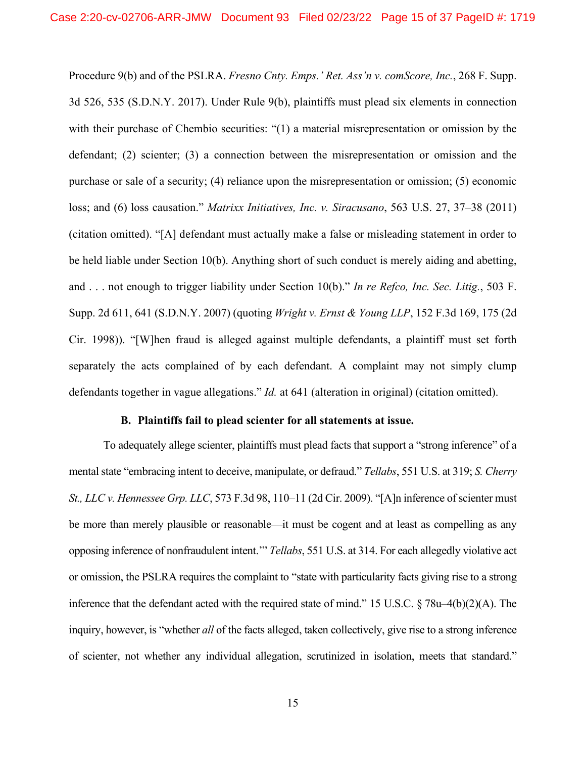Procedure 9(b) and of the PSLRA. *Fresno Cnty. Emps.' Ret. Ass'n v. comScore, Inc.*, 268 F. Supp. 3d 526, 535 (S.D.N.Y. 2017). Under Rule 9(b), plaintiffs must plead six elements in connection with their purchase of Chembio securities: "(1) a material misrepresentation or omission by the defendant; (2) scienter; (3) a connection between the misrepresentation or omission and the purchase or sale of a security; (4) reliance upon the misrepresentation or omission; (5) economic loss; and (6) loss causation." *Matrixx Initiatives, Inc. v. Siracusano*, 563 U.S. 27, 37–38 (2011) (citation omitted). "[A] defendant must actually make a false or misleading statement in order to be held liable under Section 10(b). Anything short of such conduct is merely aiding and abetting, and . . . not enough to trigger liability under Section 10(b)." *In re Refco, Inc. Sec. Litig.*, 503 F. Supp. 2d 611, 641 (S.D.N.Y. 2007) (quoting *Wright v. Ernst & Young LLP*, 152 F.3d 169, 175 (2d Cir. 1998)). "[W]hen fraud is alleged against multiple defendants, a plaintiff must set forth separately the acts complained of by each defendant. A complaint may not simply clump defendants together in vague allegations." *Id.* at 641 (alteration in original) (citation omitted).

## **B. Plaintiffs fail to plead scienter for all statements at issue.**

To adequately allege scienter, plaintiffs must plead facts that support a "strong inference" of a mental state "embracing intent to deceive, manipulate, or defraud." *Tellabs*, 551 U.S. at 319; *S. Cherry St., LLC v. Hennessee Grp. LLC*, 573 F.3d 98, 110–11 (2d Cir. 2009). "[A]n inference of scienter must be more than merely plausible or reasonable—it must be cogent and at least as compelling as any opposing inference of nonfraudulent intent.'" *Tellabs*, 551 U.S. at 314. For each allegedly violative act or omission, the PSLRA requires the complaint to "state with particularity facts giving rise to a strong inference that the defendant acted with the required state of mind." 15 U.S.C. § 78u–4(b)(2)(A). The inquiry, however, is "whether *all* of the facts alleged, taken collectively, give rise to a strong inference of scienter, not whether any individual allegation, scrutinized in isolation, meets that standard."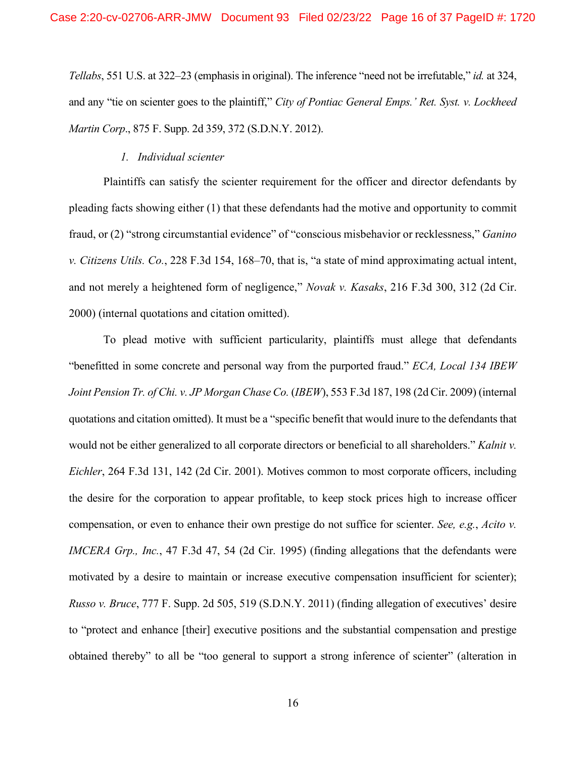*Tellabs*, 551 U.S. at 322–23 (emphasis in original). The inference "need not be irrefutable," *id.* at 324, and any "tie on scienter goes to the plaintiff," *City of Pontiac General Emps.' Ret. Syst. v. Lockheed Martin Corp*., 875 F. Supp. 2d 359, 372 (S.D.N.Y. 2012).

#### *1. Individual scienter*

Plaintiffs can satisfy the scienter requirement for the officer and director defendants by pleading facts showing either (1) that these defendants had the motive and opportunity to commit fraud, or (2) "strong circumstantial evidence" of "conscious misbehavior or recklessness," *Ganino v. Citizens Utils. Co.*, 228 F.3d 154, 168–70, that is, "a state of mind approximating actual intent, and not merely a heightened form of negligence," *Novak v. Kasaks*, 216 F.3d 300, 312 (2d Cir. 2000) (internal quotations and citation omitted).

To plead motive with sufficient particularity, plaintiffs must allege that defendants "benefitted in some concrete and personal way from the purported fraud." *ECA, Local 134 IBEW Joint Pension Tr. of Chi. v. JP Morgan Chase Co.* (*IBEW*), 553 F.3d 187, 198 (2d Cir. 2009) (internal quotations and citation omitted). It must be a "specific benefit that would inure to the defendants that would not be either generalized to all corporate directors or beneficial to all shareholders." *Kalnit v. Eichler*, 264 F.3d 131, 142 (2d Cir. 2001). Motives common to most corporate officers, including the desire for the corporation to appear profitable, to keep stock prices high to increase officer compensation, or even to enhance their own prestige do not suffice for scienter. *See, e.g.*, *Acito v. IMCERA Grp., Inc.*, 47 F.3d 47, 54 (2d Cir. 1995) (finding allegations that the defendants were motivated by a desire to maintain or increase executive compensation insufficient for scienter); *Russo v. Bruce*, 777 F. Supp. 2d 505, 519 (S.D.N.Y. 2011) (finding allegation of executives' desire to "protect and enhance [their] executive positions and the substantial compensation and prestige obtained thereby" to all be "too general to support a strong inference of scienter" (alteration in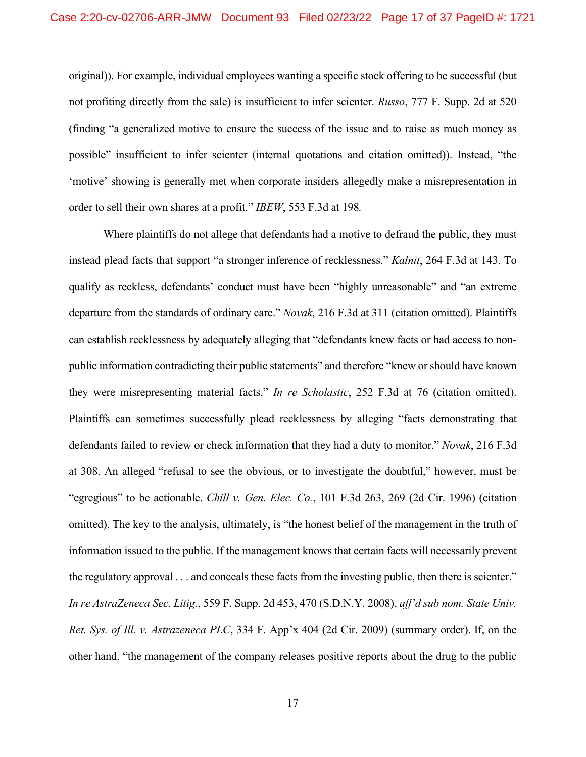original)). For example, individual employees wanting a specific stock offering to be successful (but not profiting directly from the sale) is insufficient to infer scienter. *Russo*, 777 F. Supp. 2d at 520 (finding "a generalized motive to ensure the success of the issue and to raise as much money as possible" insufficient to infer scienter (internal quotations and citation omitted)). Instead, "the 'motive' showing is generally met when corporate insiders allegedly make a misrepresentation in order to sell their own shares at a profit." *IBEW*, 553 F.3d at 198*.*

Where plaintiffs do not allege that defendants had a motive to defraud the public, they must instead plead facts that support "a stronger inference of recklessness." *Kalnit*, 264 F.3d at 143. To qualify as reckless, defendants' conduct must have been "highly unreasonable" and "an extreme departure from the standards of ordinary care." *Novak*, 216 F.3d at 311 (citation omitted). Plaintiffs can establish recklessness by adequately alleging that "defendants knew facts or had access to nonpublic information contradicting their public statements" and therefore "knew or should have known they were misrepresenting material facts." *In re Scholastic*, 252 F.3d at 76 (citation omitted). Plaintiffs can sometimes successfully plead recklessness by alleging "facts demonstrating that defendants failed to review or check information that they had a duty to monitor." *Novak*, 216 F.3d at 308. An alleged "refusal to see the obvious, or to investigate the doubtful," however, must be "egregious" to be actionable. *Chill v. Gen. Elec. Co.*, 101 F.3d 263, 269 (2d Cir. 1996) (citation omitted). The key to the analysis, ultimately, is "the honest belief of the management in the truth of information issued to the public. If the management knows that certain facts will necessarily prevent the regulatory approval . . . and conceals these facts from the investing public, then there is scienter." *In re AstraZeneca Sec. Litig.*, 559 F. Supp. 2d 453, 470 (S.D.N.Y. 2008), *aff'd sub nom. State Univ. Ret. Sys. of Ill. v. Astrazeneca PLC*, 334 F. App'x 404 (2d Cir. 2009) (summary order). If, on the other hand, "the management of the company releases positive reports about the drug to the public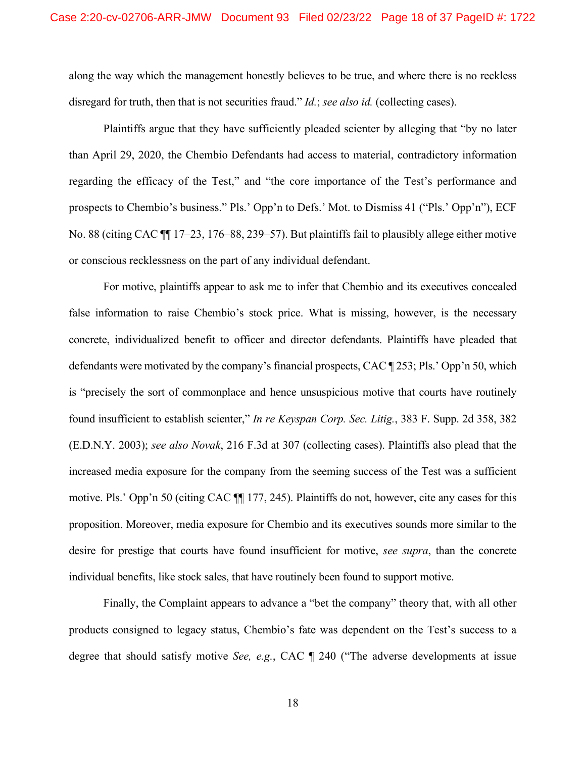along the way which the management honestly believes to be true, and where there is no reckless disregard for truth, then that is not securities fraud." *Id.*; *see also id.* (collecting cases).

Plaintiffs argue that they have sufficiently pleaded scienter by alleging that "by no later than April 29, 2020, the Chembio Defendants had access to material, contradictory information regarding the efficacy of the Test," and "the core importance of the Test's performance and prospects to Chembio's business." Pls.' Opp'n to Defs.' Mot. to Dismiss 41 ("Pls.' Opp'n"), ECF No. 88 (citing CAC ¶¶ 17–23, 176–88, 239–57). But plaintiffs fail to plausibly allege either motive or conscious recklessness on the part of any individual defendant.

For motive, plaintiffs appear to ask me to infer that Chembio and its executives concealed false information to raise Chembio's stock price. What is missing, however, is the necessary concrete, individualized benefit to officer and director defendants. Plaintiffs have pleaded that defendants were motivated by the company's financial prospects, CAC ¶ 253; Pls.' Opp'n 50, which is "precisely the sort of commonplace and hence unsuspicious motive that courts have routinely found insufficient to establish scienter," *In re Keyspan Corp. Sec. Litig.*, 383 F. Supp. 2d 358, 382 (E.D.N.Y. 2003); *see also Novak*, 216 F.3d at 307 (collecting cases). Plaintiffs also plead that the increased media exposure for the company from the seeming success of the Test was a sufficient motive. Pls.' Opp'n 50 (citing CAC ¶¶ 177, 245). Plaintiffs do not, however, cite any cases for this proposition. Moreover, media exposure for Chembio and its executives sounds more similar to the desire for prestige that courts have found insufficient for motive, *see supra*, than the concrete individual benefits, like stock sales, that have routinely been found to support motive.

Finally, the Complaint appears to advance a "bet the company" theory that, with all other products consigned to legacy status, Chembio's fate was dependent on the Test's success to a degree that should satisfy motive *See, e.g.*, CAC ¶ 240 ("The adverse developments at issue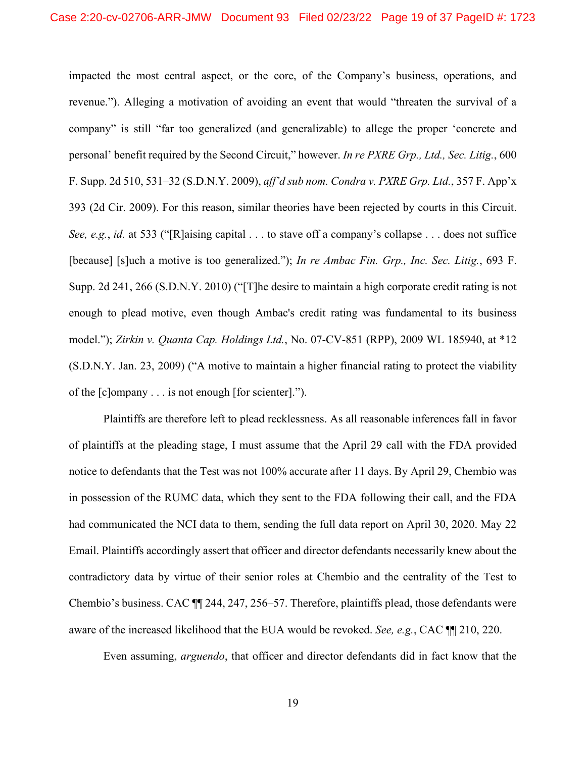impacted the most central aspect, or the core, of the Company's business, operations, and revenue."). Alleging a motivation of avoiding an event that would "threaten the survival of a company" is still "far too generalized (and generalizable) to allege the proper 'concrete and personal' benefit required by the Second Circuit," however. *In re PXRE Grp., Ltd., Sec. Litig.*, 600 F. Supp. 2d 510, 531–32 (S.D.N.Y. 2009), *aff'd sub nom. Condra v. PXRE Grp. Ltd.*, 357 F. App'x 393 (2d Cir. 2009). For this reason, similar theories have been rejected by courts in this Circuit. *See, e.g.*, *id.* at 533 ("[R]aising capital . . . to stave off a company's collapse . . . does not suffice [because] [s]uch a motive is too generalized."); *In re Ambac Fin. Grp., Inc. Sec. Litig.*, 693 F. Supp. 2d 241, 266 (S.D.N.Y. 2010) ("[T]he desire to maintain a high corporate credit rating is not enough to plead motive, even though Ambac's credit rating was fundamental to its business model."); *Zirkin v. Quanta Cap. Holdings Ltd.*, No. 07-CV-851 (RPP), 2009 WL 185940, at \*12 (S.D.N.Y. Jan. 23, 2009) ("A motive to maintain a higher financial rating to protect the viability of the [c]ompany . . . is not enough [for scienter].").

Plaintiffs are therefore left to plead recklessness. As all reasonable inferences fall in favor of plaintiffs at the pleading stage, I must assume that the April 29 call with the FDA provided notice to defendants that the Test was not 100% accurate after 11 days. By April 29, Chembio was in possession of the RUMC data, which they sent to the FDA following their call, and the FDA had communicated the NCI data to them, sending the full data report on April 30, 2020. May 22 Email. Plaintiffs accordingly assert that officer and director defendants necessarily knew about the contradictory data by virtue of their senior roles at Chembio and the centrality of the Test to Chembio's business. CAC ¶¶ 244, 247, 256–57. Therefore, plaintiffs plead, those defendants were aware of the increased likelihood that the EUA would be revoked. *See, e.g.*, CAC ¶¶ 210, 220.

Even assuming, *arguendo*, that officer and director defendants did in fact know that the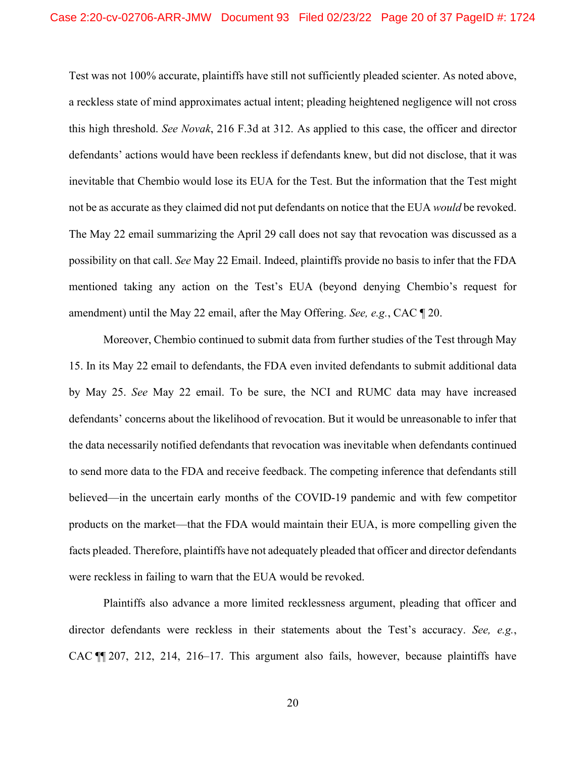Test was not 100% accurate, plaintiffs have still not sufficiently pleaded scienter. As noted above, a reckless state of mind approximates actual intent; pleading heightened negligence will not cross this high threshold. *See Novak*, 216 F.3d at 312. As applied to this case, the officer and director defendants' actions would have been reckless if defendants knew, but did not disclose, that it was inevitable that Chembio would lose its EUA for the Test. But the information that the Test might not be as accurate as they claimed did not put defendants on notice that the EUA *would* be revoked. The May 22 email summarizing the April 29 call does not say that revocation was discussed as a possibility on that call. *See* May 22 Email. Indeed, plaintiffs provide no basis to infer that the FDA mentioned taking any action on the Test's EUA (beyond denying Chembio's request for amendment) until the May 22 email, after the May Offering. *See, e.g.*, CAC ¶ 20.

Moreover, Chembio continued to submit data from further studies of the Test through May 15. In its May 22 email to defendants, the FDA even invited defendants to submit additional data by May 25. *See* May 22 email. To be sure, the NCI and RUMC data may have increased defendants' concerns about the likelihood of revocation. But it would be unreasonable to infer that the data necessarily notified defendants that revocation was inevitable when defendants continued to send more data to the FDA and receive feedback. The competing inference that defendants still believed—in the uncertain early months of the COVID-19 pandemic and with few competitor products on the market—that the FDA would maintain their EUA, is more compelling given the facts pleaded. Therefore, plaintiffs have not adequately pleaded that officer and director defendants were reckless in failing to warn that the EUA would be revoked.

Plaintiffs also advance a more limited recklessness argument, pleading that officer and director defendants were reckless in their statements about the Test's accuracy. *See, e.g.*, CAC ¶¶ 207, 212, 214, 216–17. This argument also fails, however, because plaintiffs have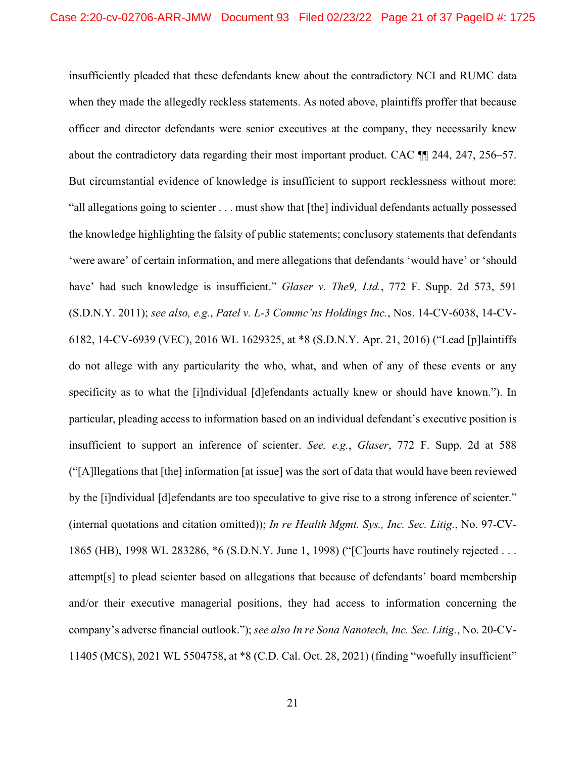insufficiently pleaded that these defendants knew about the contradictory NCI and RUMC data when they made the allegedly reckless statements. As noted above, plaintiffs proffer that because officer and director defendants were senior executives at the company, they necessarily knew about the contradictory data regarding their most important product. CAC ¶¶ 244, 247, 256–57. But circumstantial evidence of knowledge is insufficient to support recklessness without more: "all allegations going to scienter . . . must show that [the] individual defendants actually possessed the knowledge highlighting the falsity of public statements; conclusory statements that defendants 'were aware' of certain information, and mere allegations that defendants 'would have' or 'should have' had such knowledge is insufficient." *Glaser v. The9, Ltd.*, 772 F. Supp. 2d 573, 591 (S.D.N.Y. 2011); *see also, e.g.*, *Patel v. L-3 Commc'ns Holdings Inc.*, Nos. 14-CV-6038, 14-CV-6182, 14-CV-6939 (VEC), 2016 WL 1629325, at \*8 (S.D.N.Y. Apr. 21, 2016) ("Lead [p]laintiffs do not allege with any particularity the who, what, and when of any of these events or any specificity as to what the [i]ndividual [d]efendants actually knew or should have known."). In particular, pleading access to information based on an individual defendant's executive position is insufficient to support an inference of scienter. *See, e.g.*, *Glaser*, 772 F. Supp. 2d at 588 ("[A]llegations that [the] information [at issue] was the sort of data that would have been reviewed by the [i]ndividual [d]efendants are too speculative to give rise to a strong inference of scienter." (internal quotations and citation omitted)); *In re Health Mgmt. Sys., Inc. Sec. Litig.*, No. 97-CV-1865 (HB), 1998 WL 283286, \*6 (S.D.N.Y. June 1, 1998) ("[C]ourts have routinely rejected . . . attempt[s] to plead scienter based on allegations that because of defendants' board membership and/or their executive managerial positions, they had access to information concerning the company's adverse financial outlook."); *see also In re Sona Nanotech, Inc. Sec. Litig.*, No. 20-CV-11405 (MCS), 2021 WL 5504758, at \*8 (C.D. Cal. Oct. 28, 2021) (finding "woefully insufficient"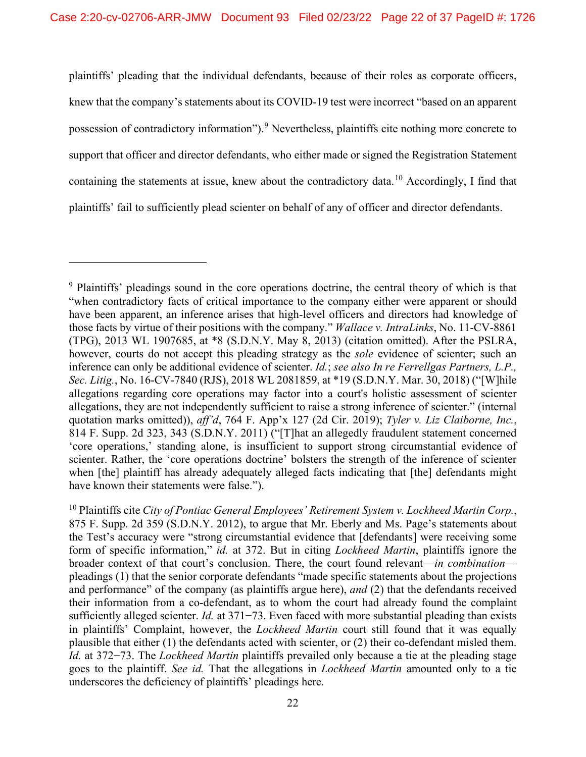plaintiffs' pleading that the individual defendants, because of their roles as corporate officers, knew that the company's statements about its COVID-19 test were incorrect "based on an apparent possession of contradictory information").<sup>9</sup> Nevertheless, plaintiffs cite nothing more concrete to support that officer and director defendants, who either made or signed the Registration Statement containing the statements at issue, knew about the contradictory data.<sup>10</sup> Accordingly, I find that plaintiffs' fail to sufficiently plead scienter on behalf of any of officer and director defendants.

<sup>&</sup>lt;sup>9</sup> Plaintiffs' pleadings sound in the core operations doctrine, the central theory of which is that "when contradictory facts of critical importance to the company either were apparent or should have been apparent, an inference arises that high-level officers and directors had knowledge of those facts by virtue of their positions with the company." *Wallace v. IntraLinks*, No. 11-CV-8861 (TPG), 2013 WL 1907685, at \*8 (S.D.N.Y. May 8, 2013) (citation omitted). After the PSLRA, however, courts do not accept this pleading strategy as the *sole* evidence of scienter; such an inference can only be additional evidence of scienter. *Id.*; *see also In re Ferrellgas Partners, L.P., Sec. Litig.*, No. 16-CV-7840 (RJS), 2018 WL 2081859, at \*19 (S.D.N.Y. Mar. 30, 2018) ("[W]hile allegations regarding core operations may factor into a court's holistic assessment of scienter allegations, they are not independently sufficient to raise a strong inference of scienter." (internal quotation marks omitted)), *aff'd*, 764 F. App'x 127 (2d Cir. 2019); *Tyler v. Liz Claiborne, Inc.*, 814 F. Supp. 2d 323, 343 (S.D.N.Y. 2011) ("[T]hat an allegedly fraudulent statement concerned 'core operations,' standing alone, is insufficient to support strong circumstantial evidence of scienter. Rather, the 'core operations doctrine' bolsters the strength of the inference of scienter when [the] plaintiff has already adequately alleged facts indicating that [the] defendants might have known their statements were false.").

<sup>10</sup> Plaintiffs cite *City of Pontiac General Employees' Retirement System v. Lockheed Martin Corp.*, 875 F. Supp. 2d 359 (S.D.N.Y. 2012), to argue that Mr. Eberly and Ms. Page's statements about the Test's accuracy were "strong circumstantial evidence that [defendants] were receiving some form of specific information," *id.* at 372. But in citing *Lockheed Martin*, plaintiffs ignore the broader context of that court's conclusion. There, the court found relevant—*in combination* pleadings (1) that the senior corporate defendants "made specific statements about the projections and performance" of the company (as plaintiffs argue here), *and* (2) that the defendants received their information from a co-defendant, as to whom the court had already found the complaint sufficiently alleged scienter. *Id.* at 371−73. Even faced with more substantial pleading than exists in plaintiffs' Complaint, however, the *Lockheed Martin* court still found that it was equally plausible that either (1) the defendants acted with scienter, or (2) their co-defendant misled them. *Id.* at 372−73. The *Lockheed Martin* plaintiffs prevailed only because a tie at the pleading stage goes to the plaintiff. *See id.* That the allegations in *Lockheed Martin* amounted only to a tie underscores the deficiency of plaintiffs' pleadings here.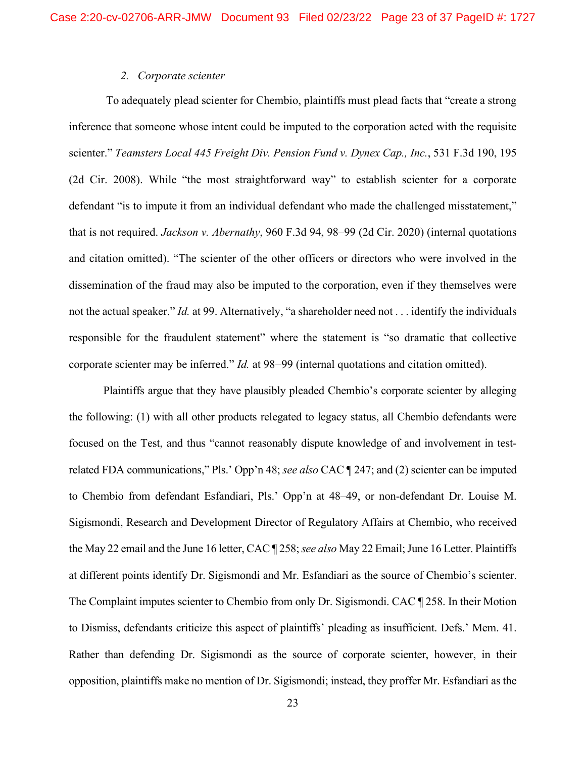## *2. Corporate scienter*

To adequately plead scienter for Chembio, plaintiffs must plead facts that "create a strong inference that someone whose intent could be imputed to the corporation acted with the requisite scienter." *Teamsters Local 445 Freight Div. Pension Fund v. Dynex Cap., Inc.*, 531 F.3d 190, 195 (2d Cir. 2008). While "the most straightforward way" to establish scienter for a corporate defendant "is to impute it from an individual defendant who made the challenged misstatement," that is not required. *Jackson v. Abernathy*, 960 F.3d 94, 98–99 (2d Cir. 2020) (internal quotations and citation omitted). "The scienter of the other officers or directors who were involved in the dissemination of the fraud may also be imputed to the corporation, even if they themselves were not the actual speaker." *Id.* at 99. Alternatively, "a shareholder need not . . . identify the individuals responsible for the fraudulent statement" where the statement is "so dramatic that collective corporate scienter may be inferred." *Id.* at 98−99 (internal quotations and citation omitted).

Plaintiffs argue that they have plausibly pleaded Chembio's corporate scienter by alleging the following: (1) with all other products relegated to legacy status, all Chembio defendants were focused on the Test, and thus "cannot reasonably dispute knowledge of and involvement in testrelated FDA communications," Pls.' Opp'n 48; *see also* CAC ¶ 247; and (2) scienter can be imputed to Chembio from defendant Esfandiari, Pls.' Opp'n at 48–49, or non-defendant Dr. Louise M. Sigismondi, Research and Development Director of Regulatory Affairs at Chembio, who received the May 22 email and the June 16 letter, CAC ¶ 258; *see also* May 22 Email; June 16 Letter. Plaintiffs at different points identify Dr. Sigismondi and Mr. Esfandiari as the source of Chembio's scienter. The Complaint imputes scienter to Chembio from only Dr. Sigismondi. CAC ¶ 258. In their Motion to Dismiss, defendants criticize this aspect of plaintiffs' pleading as insufficient. Defs.' Mem. 41. Rather than defending Dr. Sigismondi as the source of corporate scienter, however, in their opposition, plaintiffs make no mention of Dr. Sigismondi; instead, they proffer Mr. Esfandiari as the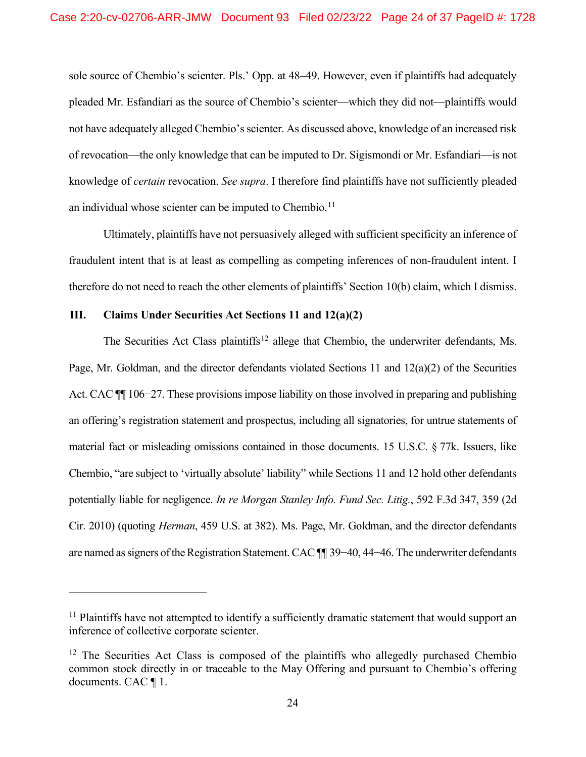sole source of Chembio's scienter. Pls.' Opp. at 48–49. However, even if plaintiffs had adequately pleaded Mr. Esfandiari as the source of Chembio's scienter—which they did not—plaintiffs would not have adequately alleged Chembio's scienter. As discussed above, knowledge of an increased risk of revocation—the only knowledge that can be imputed to Dr. Sigismondi or Mr. Esfandiari—is not knowledge of *certain* revocation. *See supra*. I therefore find plaintiffs have not sufficiently pleaded an individual whose scienter can be imputed to Chembio.<sup>11</sup>

Ultimately, plaintiffs have not persuasively alleged with sufficient specificity an inference of fraudulent intent that is at least as compelling as competing inferences of non-fraudulent intent. I therefore do not need to reach the other elements of plaintiffs' Section 10(b) claim, which I dismiss.

# **III. Claims Under Securities Act Sections 11 and 12(a)(2)**

The Securities Act Class plaintiffs<sup>12</sup> allege that Chembio, the underwriter defendants. Ms. Page, Mr. Goldman, and the director defendants violated Sections 11 and 12(a)(2) of the Securities Act. CAC ¶¶ 106−27. These provisions impose liability on those involved in preparing and publishing an offering's registration statement and prospectus, including all signatories, for untrue statements of material fact or misleading omissions contained in those documents. 15 U.S.C. § 77k. Issuers, like Chembio, "are subject to 'virtually absolute' liability" while Sections 11 and 12 hold other defendants potentially liable for negligence. *In re Morgan Stanley Info. Fund Sec. Litig.*, 592 F.3d 347, 359 (2d Cir. 2010) (quoting *Herman*, 459 U.S. at 382). Ms. Page, Mr. Goldman, and the director defendants are named as signers of the Registration Statement. CAC ¶¶ 39−40, 44−46. The underwriter defendants

 $11$  Plaintiffs have not attempted to identify a sufficiently dramatic statement that would support an inference of collective corporate scienter.

 $12$  The Securities Act Class is composed of the plaintiffs who allegedly purchased Chembio common stock directly in or traceable to the May Offering and pursuant to Chembio's offering documents. CAC ¶ 1.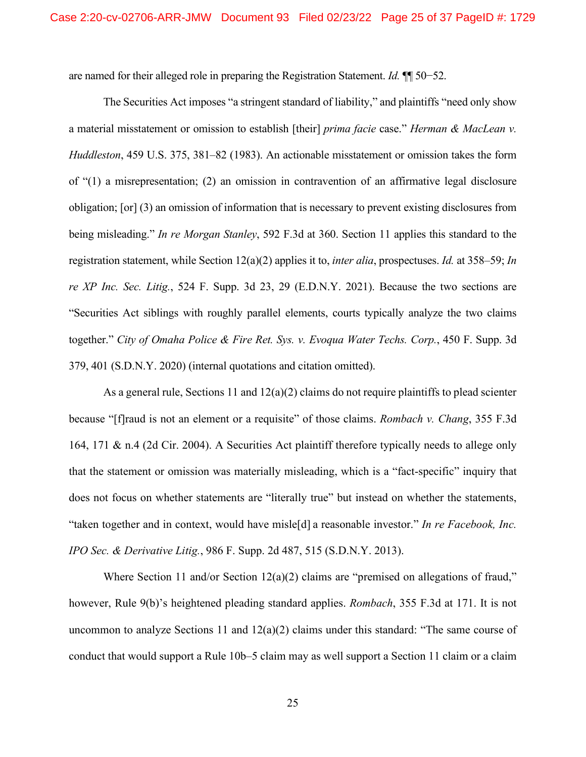are named for their alleged role in preparing the Registration Statement. *Id.* ¶¶ 50−52.

The Securities Act imposes "a stringent standard of liability," and plaintiffs "need only show a material misstatement or omission to establish [their] *prima facie* case." *Herman & MacLean v. Huddleston*, 459 U.S. 375, 381–82 (1983). An actionable misstatement or omission takes the form of "(1) a misrepresentation; (2) an omission in contravention of an affirmative legal disclosure obligation; [or] (3) an omission of information that is necessary to prevent existing disclosures from being misleading." *In re Morgan Stanley*, 592 F.3d at 360. Section 11 applies this standard to the registration statement, while Section 12(a)(2) applies it to, *inter alia*, prospectuses. *Id.* at 358–59; *In re XP Inc. Sec. Litig.*, 524 F. Supp. 3d 23, 29 (E.D.N.Y. 2021). Because the two sections are "Securities Act siblings with roughly parallel elements, courts typically analyze the two claims together." *City of Omaha Police & Fire Ret. Sys. v. Evoqua Water Techs. Corp.*, 450 F. Supp. 3d 379, 401 (S.D.N.Y. 2020) (internal quotations and citation omitted).

As a general rule, Sections 11 and 12(a)(2) claims do not require plaintiffs to plead scienter because "[f]raud is not an element or a requisite" of those claims. *Rombach v. Chang*, 355 F.3d 164, 171 & n.4 (2d Cir. 2004). A Securities Act plaintiff therefore typically needs to allege only that the statement or omission was materially misleading, which is a "fact-specific" inquiry that does not focus on whether statements are "literally true" but instead on whether the statements, "taken together and in context, would have misle[d] a reasonable investor." *In re Facebook, Inc. IPO Sec. & Derivative Litig.*, 986 F. Supp. 2d 487, 515 (S.D.N.Y. 2013).

Where Section 11 and/or Section 12(a)(2) claims are "premised on allegations of fraud," however, Rule 9(b)'s heightened pleading standard applies. *Rombach*, 355 F.3d at 171. It is not uncommon to analyze Sections 11 and  $12(a)(2)$  claims under this standard: "The same course of conduct that would support a Rule 10b–5 claim may as well support a Section 11 claim or a claim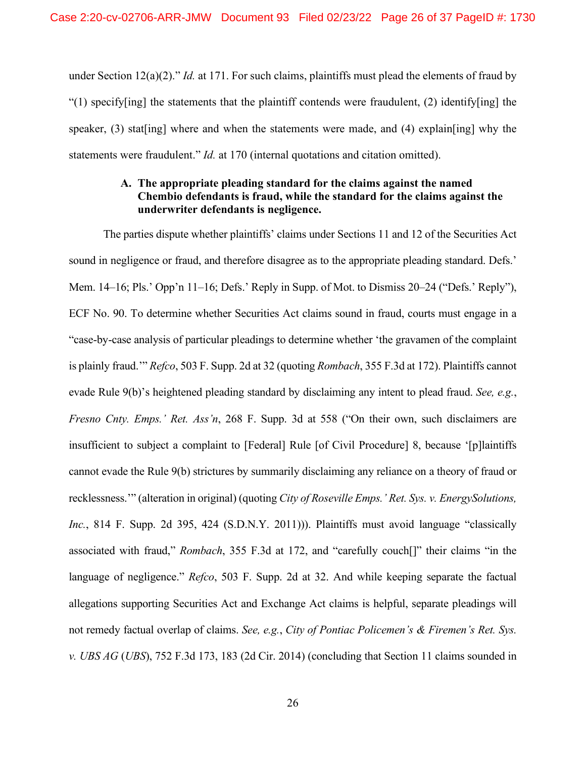under Section 12(a)(2)." *Id.* at 171. For such claims, plaintiffs must plead the elements of fraud by "(1) specify[ing] the statements that the plaintiff contends were fraudulent, (2) identify[ing] the speaker, (3) stat[ing] where and when the statements were made, and (4) explain[ing] why the statements were fraudulent." *Id.* at 170 (internal quotations and citation omitted).

# **A. The appropriate pleading standard for the claims against the named Chembio defendants is fraud, while the standard for the claims against the underwriter defendants is negligence.**

The parties dispute whether plaintiffs' claims under Sections 11 and 12 of the Securities Act sound in negligence or fraud, and therefore disagree as to the appropriate pleading standard. Defs.' Mem. 14–16; Pls.' Opp'n 11–16; Defs.' Reply in Supp. of Mot. to Dismiss 20–24 ("Defs.' Reply"), ECF No. 90. To determine whether Securities Act claims sound in fraud, courts must engage in a "case-by-case analysis of particular pleadings to determine whether 'the gravamen of the complaint is plainly fraud.'" *Refco*, 503 F. Supp. 2d at 32 (quoting *Rombach*, 355 F.3d at 172). Plaintiffs cannot evade Rule 9(b)'s heightened pleading standard by disclaiming any intent to plead fraud. *See, e.g.*, *Fresno Cnty. Emps.' Ret. Ass'n*, 268 F. Supp. 3d at 558 ("On their own, such disclaimers are insufficient to subject a complaint to [Federal] Rule [of Civil Procedure] 8, because '[p]laintiffs cannot evade the Rule 9(b) strictures by summarily disclaiming any reliance on a theory of fraud or recklessness.'" (alteration in original) (quoting *City of Roseville Emps.' Ret. Sys. v. EnergySolutions, Inc.*, 814 F. Supp. 2d 395, 424 (S.D.N.Y. 2011))). Plaintiffs must avoid language "classically associated with fraud," *Rombach*, 355 F.3d at 172, and "carefully couch[]" their claims "in the language of negligence." *Refco*, 503 F. Supp. 2d at 32. And while keeping separate the factual allegations supporting Securities Act and Exchange Act claims is helpful, separate pleadings will not remedy factual overlap of claims. *See, e.g.*, *City of Pontiac Policemen's & Firemen's Ret. Sys. v. UBS AG* (*UBS*), 752 F.3d 173, 183 (2d Cir. 2014) (concluding that Section 11 claims sounded in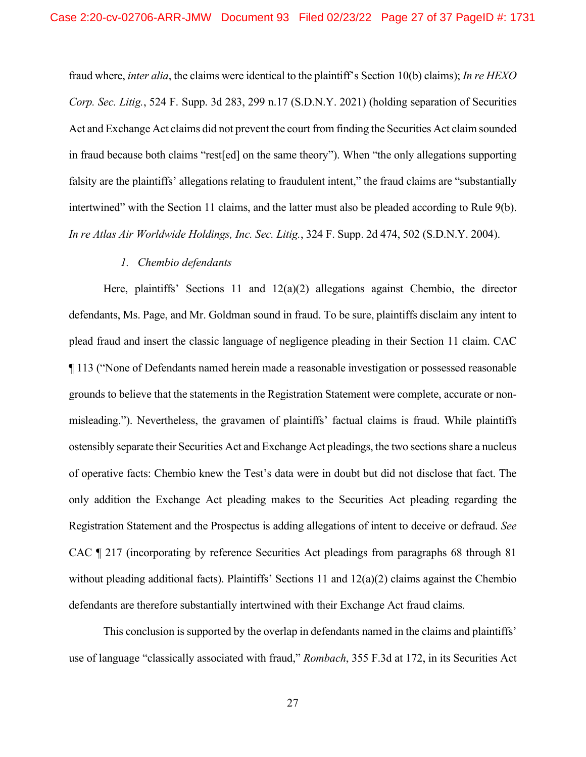fraud where, *inter alia*, the claims were identical to the plaintiff's Section 10(b) claims); *In re HEXO Corp. Sec. Litig.*, 524 F. Supp. 3d 283, 299 n.17 (S.D.N.Y. 2021) (holding separation of Securities Act and Exchange Act claims did not prevent the court from finding the Securities Act claim sounded in fraud because both claims "rest[ed] on the same theory"). When "the only allegations supporting falsity are the plaintiffs' allegations relating to fraudulent intent," the fraud claims are "substantially intertwined" with the Section 11 claims, and the latter must also be pleaded according to Rule 9(b). *In re Atlas Air Worldwide Holdings, Inc. Sec. Litig.*, 324 F. Supp. 2d 474, 502 (S.D.N.Y. 2004).

### *1. Chembio defendants*

Here, plaintiffs' Sections 11 and 12(a)(2) allegations against Chembio, the director defendants, Ms. Page, and Mr. Goldman sound in fraud. To be sure, plaintiffs disclaim any intent to plead fraud and insert the classic language of negligence pleading in their Section 11 claim. CAC ¶ 113 ("None of Defendants named herein made a reasonable investigation or possessed reasonable grounds to believe that the statements in the Registration Statement were complete, accurate or nonmisleading."). Nevertheless, the gravamen of plaintiffs' factual claims is fraud. While plaintiffs ostensibly separate their Securities Act and Exchange Act pleadings, the two sections share a nucleus of operative facts: Chembio knew the Test's data were in doubt but did not disclose that fact. The only addition the Exchange Act pleading makes to the Securities Act pleading regarding the Registration Statement and the Prospectus is adding allegations of intent to deceive or defraud. *See*  CAC ¶ 217 (incorporating by reference Securities Act pleadings from paragraphs 68 through 81 without pleading additional facts). Plaintiffs' Sections 11 and 12(a)(2) claims against the Chembio defendants are therefore substantially intertwined with their Exchange Act fraud claims.

This conclusion is supported by the overlap in defendants named in the claims and plaintiffs' use of language "classically associated with fraud," *Rombach*, 355 F.3d at 172, in its Securities Act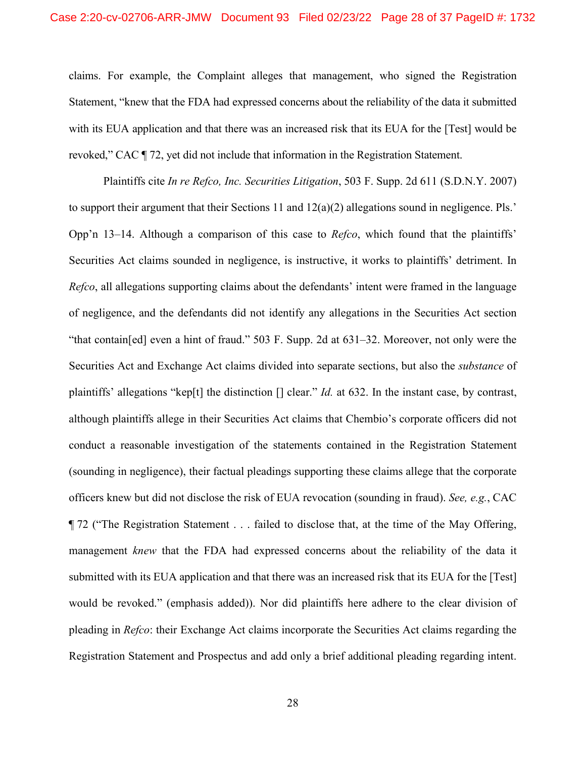claims. For example, the Complaint alleges that management, who signed the Registration Statement, "knew that the FDA had expressed concerns about the reliability of the data it submitted with its EUA application and that there was an increased risk that its EUA for the [Test] would be revoked," CAC ¶ 72, yet did not include that information in the Registration Statement.

Plaintiffs cite *In re Refco, Inc. Securities Litigation*, 503 F. Supp. 2d 611 (S.D.N.Y. 2007) to support their argument that their Sections 11 and  $12(a)(2)$  allegations sound in negligence. Pls.' Opp'n 13–14. Although a comparison of this case to *Refco*, which found that the plaintiffs' Securities Act claims sounded in negligence, is instructive, it works to plaintiffs' detriment. In *Refco*, all allegations supporting claims about the defendants' intent were framed in the language of negligence, and the defendants did not identify any allegations in the Securities Act section "that contain[ed] even a hint of fraud." 503 F. Supp. 2d at 631–32. Moreover, not only were the Securities Act and Exchange Act claims divided into separate sections, but also the *substance* of plaintiffs' allegations "kep[t] the distinction [] clear." *Id.* at 632. In the instant case, by contrast, although plaintiffs allege in their Securities Act claims that Chembio's corporate officers did not conduct a reasonable investigation of the statements contained in the Registration Statement (sounding in negligence), their factual pleadings supporting these claims allege that the corporate officers knew but did not disclose the risk of EUA revocation (sounding in fraud). *See, e.g.*, CAC ¶ 72 ("The Registration Statement . . . failed to disclose that, at the time of the May Offering, management *knew* that the FDA had expressed concerns about the reliability of the data it submitted with its EUA application and that there was an increased risk that its EUA for the [Test] would be revoked." (emphasis added)). Nor did plaintiffs here adhere to the clear division of pleading in *Refco*: their Exchange Act claims incorporate the Securities Act claims regarding the Registration Statement and Prospectus and add only a brief additional pleading regarding intent.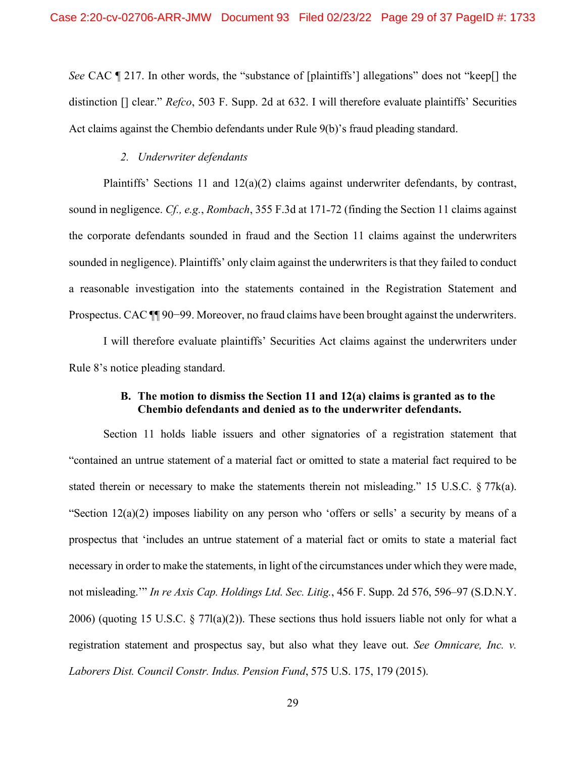*See* CAC ¶ 217. In other words, the "substance of [plaintiffs'] allegations" does not "keep[] the distinction [] clear." *Refco*, 503 F. Supp. 2d at 632. I will therefore evaluate plaintiffs' Securities Act claims against the Chembio defendants under Rule 9(b)'s fraud pleading standard.

#### *2. Underwriter defendants*

Plaintiffs' Sections 11 and 12(a)(2) claims against underwriter defendants, by contrast, sound in negligence. *Cf., e.g., Rombach*, 355 F.3d at 171-72 (finding the Section 11 claims against the corporate defendants sounded in fraud and the Section 11 claims against the underwriters sounded in negligence). Plaintiffs' only claim against the underwriters is that they failed to conduct a reasonable investigation into the statements contained in the Registration Statement and Prospectus. CAC ¶¶ 90−99. Moreover, no fraud claims have been brought against the underwriters.

I will therefore evaluate plaintiffs' Securities Act claims against the underwriters under Rule 8's notice pleading standard.

## **B. The motion to dismiss the Section 11 and 12(a) claims is granted as to the Chembio defendants and denied as to the underwriter defendants.**

Section 11 holds liable issuers and other signatories of a registration statement that "contained an untrue statement of a material fact or omitted to state a material fact required to be stated therein or necessary to make the statements therein not misleading." 15 U.S.C.  $\S 77k(a)$ . "Section 12(a)(2) imposes liability on any person who 'offers or sells' a security by means of a prospectus that 'includes an untrue statement of a material fact or omits to state a material fact necessary in order to make the statements, in light of the circumstances under which they were made, not misleading.'" *In re Axis Cap. Holdings Ltd. Sec. Litig.*, 456 F. Supp. 2d 576, 596–97 (S.D.N.Y. 2006) (quoting 15 U.S.C. § 77l(a)(2)). These sections thus hold issuers liable not only for what a registration statement and prospectus say, but also what they leave out. *See Omnicare, Inc. v. Laborers Dist. Council Constr. Indus. Pension Fund*, 575 U.S. 175, 179 (2015).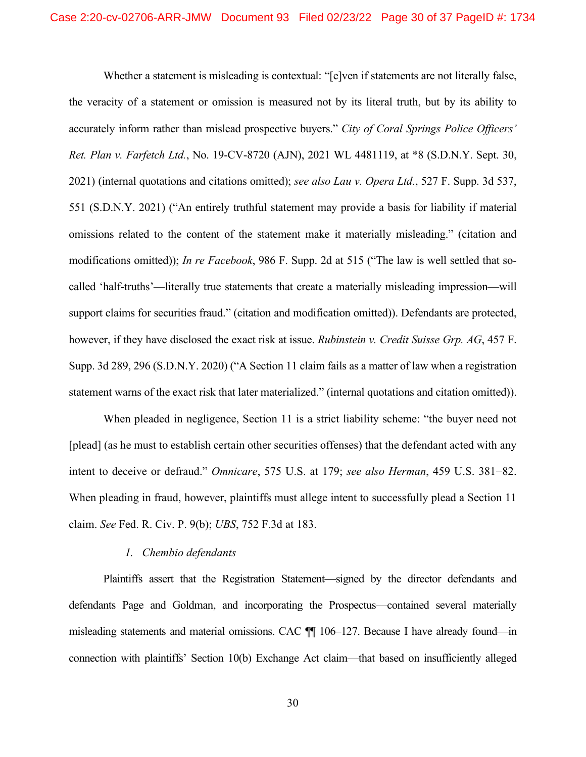Whether a statement is misleading is contextual: "[e]ven if statements are not literally false, the veracity of a statement or omission is measured not by its literal truth, but by its ability to accurately inform rather than mislead prospective buyers." *City of Coral Springs Police Officers' Ret. Plan v. Farfetch Ltd.*, No. 19-CV-8720 (AJN), 2021 WL 4481119, at \*8 (S.D.N.Y. Sept. 30, 2021) (internal quotations and citations omitted); *see also Lau v. Opera Ltd.*, 527 F. Supp. 3d 537, 551 (S.D.N.Y. 2021) ("An entirely truthful statement may provide a basis for liability if material omissions related to the content of the statement make it materially misleading." (citation and modifications omitted)); *In re Facebook*, 986 F. Supp. 2d at 515 ("The law is well settled that socalled 'half-truths'—literally true statements that create a materially misleading impression—will support claims for securities fraud." (citation and modification omitted)). Defendants are protected, however, if they have disclosed the exact risk at issue. *Rubinstein v. Credit Suisse Grp. AG*, 457 F. Supp. 3d 289, 296 (S.D.N.Y. 2020) ("A Section 11 claim fails as a matter of law when a registration statement warns of the exact risk that later materialized." (internal quotations and citation omitted)).

When pleaded in negligence, Section 11 is a strict liability scheme: "the buyer need not [plead] (as he must to establish certain other securities offenses) that the defendant acted with any intent to deceive or defraud." *Omnicare*, 575 U.S. at 179; *see also Herman*, 459 U.S. 381−82. When pleading in fraud, however, plaintiffs must allege intent to successfully plead a Section 11 claim. *See* Fed. R. Civ. P. 9(b); *UBS*, 752 F.3d at 183.

#### *1. Chembio defendants*

Plaintiffs assert that the Registration Statement—signed by the director defendants and defendants Page and Goldman, and incorporating the Prospectus—contained several materially misleading statements and material omissions. CAC ¶¶ 106–127. Because I have already found—in connection with plaintiffs' Section 10(b) Exchange Act claim—that based on insufficiently alleged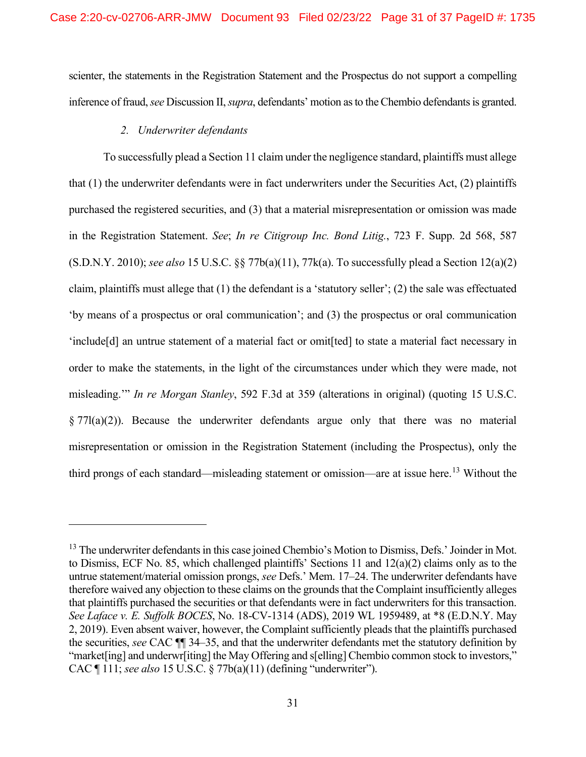scienter, the statements in the Registration Statement and the Prospectus do not support a compelling inference of fraud, *see* Discussion II, *supra*, defendants' motion as to the Chembio defendantsis granted.

### *2. Underwriter defendants*

To successfully plead a Section 11 claim under the negligence standard, plaintiffs must allege that (1) the underwriter defendants were in fact underwriters under the Securities Act, (2) plaintiffs purchased the registered securities, and (3) that a material misrepresentation or omission was made in the Registration Statement. *See*; *In re Citigroup Inc. Bond Litig.*, 723 F. Supp. 2d 568, 587 (S.D.N.Y. 2010); *see also* 15 U.S.C. §§ 77b(a)(11), 77k(a). To successfully plead a Section 12(a)(2) claim, plaintiffs must allege that (1) the defendant is a 'statutory seller'; (2) the sale was effectuated 'by means of a prospectus or oral communication'; and (3) the prospectus or oral communication 'include[d] an untrue statement of a material fact or omit[ted] to state a material fact necessary in order to make the statements, in the light of the circumstances under which they were made, not misleading.'" *In re Morgan Stanley*, 592 F.3d at 359 (alterations in original) (quoting 15 U.S.C. § 77l(a)(2)). Because the underwriter defendants argue only that there was no material misrepresentation or omission in the Registration Statement (including the Prospectus), only the third prongs of each standard—misleading statement or omission—are at issue here.<sup>13</sup> Without the

<sup>&</sup>lt;sup>13</sup> The underwriter defendants in this case joined Chembio's Motion to Dismiss, Defs.' Joinder in Mot. to Dismiss, ECF No. 85, which challenged plaintiffs' Sections 11 and 12(a)(2) claims only as to the untrue statement/material omission prongs, *see* Defs.' Mem. 17–24. The underwriter defendants have therefore waived any objection to these claims on the grounds that the Complaint insufficiently alleges that plaintiffs purchased the securities or that defendants were in fact underwriters for this transaction. *See Laface v. E. Suffolk BOCES*, No. 18-CV-1314 (ADS), 2019 WL 1959489, at \*8 (E.D.N.Y. May 2, 2019). Even absent waiver, however, the Complaint sufficiently pleads that the plaintiffs purchased the securities, *see* CAC ¶¶ 34–35, and that the underwriter defendants met the statutory definition by "market[ing] and underwr[iting] the May Offering and s[elling] Chembio common stock to investors," CAC ¶ 111; *see also* 15 U.S.C. § 77b(a)(11) (defining "underwriter").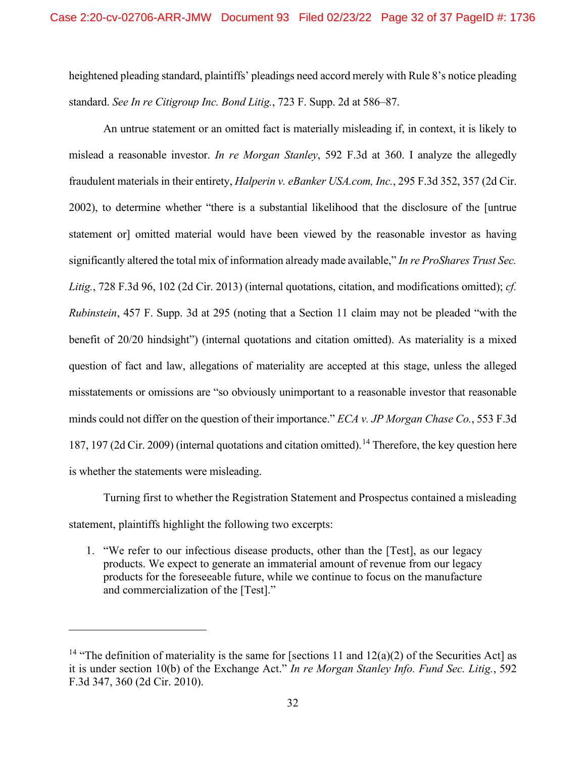heightened pleading standard, plaintiffs' pleadings need accord merely with Rule 8's notice pleading standard. *See In re Citigroup Inc. Bond Litig.*, 723 F. Supp. 2d at 586–87.

An untrue statement or an omitted fact is materially misleading if, in context, it is likely to mislead a reasonable investor. *In re Morgan Stanley*, 592 F.3d at 360. I analyze the allegedly fraudulent materials in their entirety, *Halperin v. eBanker USA.com, Inc.*, 295 F.3d 352, 357 (2d Cir. 2002), to determine whether "there is a substantial likelihood that the disclosure of the [untrue statement or] omitted material would have been viewed by the reasonable investor as having significantly altered the total mix of information already made available," *In re ProShares Trust Sec. Litig.*, 728 F.3d 96, 102 (2d Cir. 2013) (internal quotations, citation, and modifications omitted); *cf. Rubinstein*, 457 F. Supp. 3d at 295 (noting that a Section 11 claim may not be pleaded "with the benefit of 20/20 hindsight") (internal quotations and citation omitted). As materiality is a mixed question of fact and law, allegations of materiality are accepted at this stage, unless the alleged misstatements or omissions are "so obviously unimportant to a reasonable investor that reasonable minds could not differ on the question of their importance." *ECA v. JP Morgan Chase Co.*, 553 F.3d 187, 197 (2d Cir. 2009) (internal quotations and citation omitted).<sup>14</sup> Therefore, the key question here is whether the statements were misleading.

Turning first to whether the Registration Statement and Prospectus contained a misleading statement, plaintiffs highlight the following two excerpts:

1. "We refer to our infectious disease products, other than the [Test], as our legacy products. We expect to generate an immaterial amount of revenue from our legacy products for the foreseeable future, while we continue to focus on the manufacture and commercialization of the [Test]."

<sup>&</sup>lt;sup>14</sup> "The definition of materiality is the same for [sections 11 and  $12(a)(2)$  of the Securities Act] as it is under section 10(b) of the Exchange Act." *In re Morgan Stanley Info. Fund Sec. Litig.*, 592 F.3d 347, 360 (2d Cir. 2010).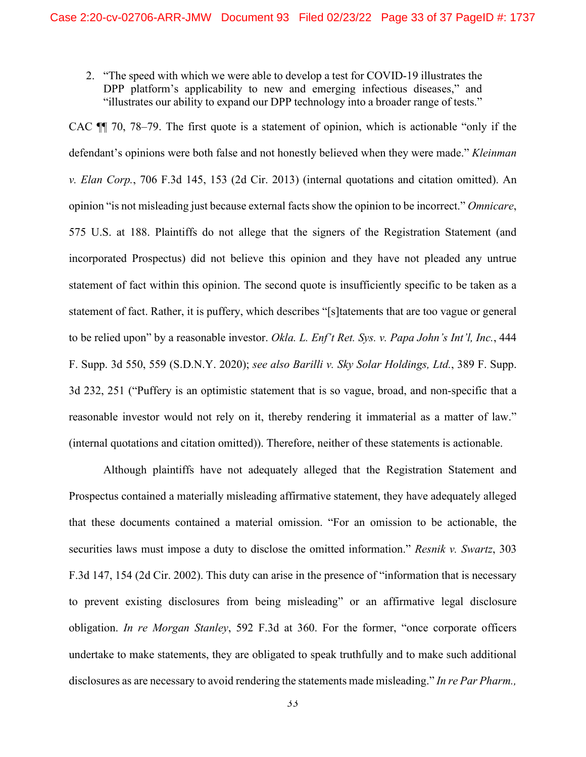2. "The speed with which we were able to develop a test for COVID-19 illustrates the DPP platform's applicability to new and emerging infectious diseases," and "illustrates our ability to expand our DPP technology into a broader range of tests."

CAC ¶¶ 70, 78–79. The first quote is a statement of opinion, which is actionable "only if the defendant's opinions were both false and not honestly believed when they were made." *Kleinman v. Elan Corp.*, 706 F.3d 145, 153 (2d Cir. 2013) (internal quotations and citation omitted). An opinion "is not misleading just because external facts show the opinion to be incorrect." *Omnicare*, 575 U.S. at 188. Plaintiffs do not allege that the signers of the Registration Statement (and incorporated Prospectus) did not believe this opinion and they have not pleaded any untrue statement of fact within this opinion. The second quote is insufficiently specific to be taken as a statement of fact. Rather, it is puffery, which describes "[s]tatements that are too vague or general to be relied upon" by a reasonable investor. *Okla. L. Enf't Ret. Sys. v. Papa John's Int'l, Inc.*, 444 F. Supp. 3d 550, 559 (S.D.N.Y. 2020); *see also Barilli v. Sky Solar Holdings, Ltd.*, 389 F. Supp. 3d 232, 251 ("Puffery is an optimistic statement that is so vague, broad, and non-specific that a reasonable investor would not rely on it, thereby rendering it immaterial as a matter of law." (internal quotations and citation omitted)). Therefore, neither of these statements is actionable.

Although plaintiffs have not adequately alleged that the Registration Statement and Prospectus contained a materially misleading affirmative statement, they have adequately alleged that these documents contained a material omission. "For an omission to be actionable, the securities laws must impose a duty to disclose the omitted information." *Resnik v. Swartz*, 303 F.3d 147, 154 (2d Cir. 2002). This duty can arise in the presence of "information that is necessary to prevent existing disclosures from being misleading" or an affirmative legal disclosure obligation. *In re Morgan Stanley*, 592 F.3d at 360. For the former, "once corporate officers undertake to make statements, they are obligated to speak truthfully and to make such additional disclosures as are necessary to avoid rendering the statements made misleading." *In re Par Pharm.,*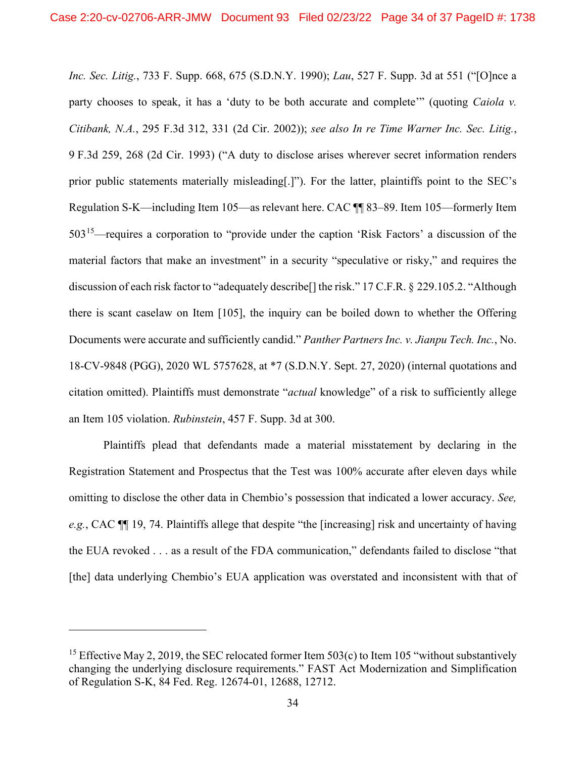*Inc. Sec. Litig.*, 733 F. Supp. 668, 675 (S.D.N.Y. 1990); *Lau*, 527 F. Supp. 3d at 551 ("[O]nce a party chooses to speak, it has a 'duty to be both accurate and complete'" (quoting *Caiola v. Citibank, N.A.*, 295 F.3d 312, 331 (2d Cir. 2002)); *see also In re Time Warner Inc. Sec. Litig.*, 9 F.3d 259, 268 (2d Cir. 1993) ("A duty to disclose arises wherever secret information renders prior public statements materially misleading[.]"). For the latter, plaintiffs point to the SEC's Regulation S-K—including Item 105—as relevant here. CAC ¶¶ 83–89. Item 105—formerly Item 50315—requires a corporation to "provide under the caption 'Risk Factors' a discussion of the material factors that make an investment" in a security "speculative or risky," and requires the discussion of each risk factor to "adequately describe[] the risk." 17 C.F.R. § 229.105.2. "Although there is scant caselaw on Item [105], the inquiry can be boiled down to whether the Offering Documents were accurate and sufficiently candid." *Panther Partners Inc. v. Jianpu Tech. Inc.*, No. 18-CV-9848 (PGG), 2020 WL 5757628, at \*7 (S.D.N.Y. Sept. 27, 2020) (internal quotations and citation omitted). Plaintiffs must demonstrate "*actual* knowledge" of a risk to sufficiently allege an Item 105 violation. *Rubinstein*, 457 F. Supp. 3d at 300.

Plaintiffs plead that defendants made a material misstatement by declaring in the Registration Statement and Prospectus that the Test was 100% accurate after eleven days while omitting to disclose the other data in Chembio's possession that indicated a lower accuracy. *See, e.g.*, CAC ¶¶ 19, 74. Plaintiffs allege that despite "the [increasing] risk and uncertainty of having the EUA revoked . . . as a result of the FDA communication," defendants failed to disclose "that [the] data underlying Chembio's EUA application was overstated and inconsistent with that of

<sup>&</sup>lt;sup>15</sup> Effective May 2, 2019, the SEC relocated former Item  $503(c)$  to Item 105 "without substantively changing the underlying disclosure requirements." FAST Act Modernization and Simplification of Regulation S-K, 84 Fed. Reg. 12674-01, 12688, 12712.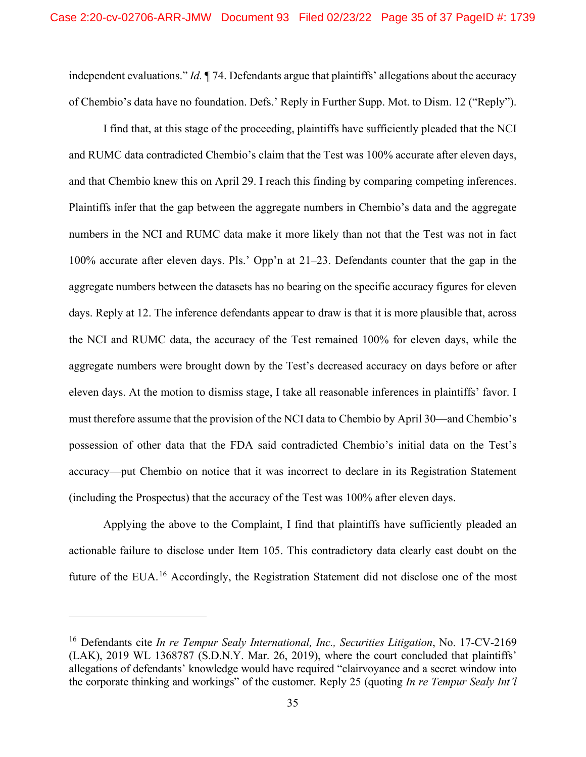independent evaluations." *Id.* ¶ 74. Defendants argue that plaintiffs' allegations about the accuracy of Chembio's data have no foundation. Defs.' Reply in Further Supp. Mot. to Dism. 12 ("Reply").

I find that, at this stage of the proceeding, plaintiffs have sufficiently pleaded that the NCI and RUMC data contradicted Chembio's claim that the Test was 100% accurate after eleven days, and that Chembio knew this on April 29. I reach this finding by comparing competing inferences. Plaintiffs infer that the gap between the aggregate numbers in Chembio's data and the aggregate numbers in the NCI and RUMC data make it more likely than not that the Test was not in fact 100% accurate after eleven days. Pls.' Opp'n at 21–23. Defendants counter that the gap in the aggregate numbers between the datasets has no bearing on the specific accuracy figures for eleven days. Reply at 12. The inference defendants appear to draw is that it is more plausible that, across the NCI and RUMC data, the accuracy of the Test remained 100% for eleven days, while the aggregate numbers were brought down by the Test's decreased accuracy on days before or after eleven days. At the motion to dismiss stage, I take all reasonable inferences in plaintiffs' favor. I must therefore assume that the provision of the NCI data to Chembio by April 30—and Chembio's possession of other data that the FDA said contradicted Chembio's initial data on the Test's accuracy—put Chembio on notice that it was incorrect to declare in its Registration Statement (including the Prospectus) that the accuracy of the Test was 100% after eleven days.

Applying the above to the Complaint, I find that plaintiffs have sufficiently pleaded an actionable failure to disclose under Item 105. This contradictory data clearly cast doubt on the future of the EUA.<sup>16</sup> Accordingly, the Registration Statement did not disclose one of the most

<sup>16</sup> Defendants cite *In re Tempur Sealy International, Inc., Securities Litigation*, No. 17-CV-2169 (LAK), 2019 WL 1368787 (S.D.N.Y. Mar. 26, 2019), where the court concluded that plaintiffs' allegations of defendants' knowledge would have required "clairvoyance and a secret window into the corporate thinking and workings" of the customer. Reply 25 (quoting *In re Tempur Sealy Int'l*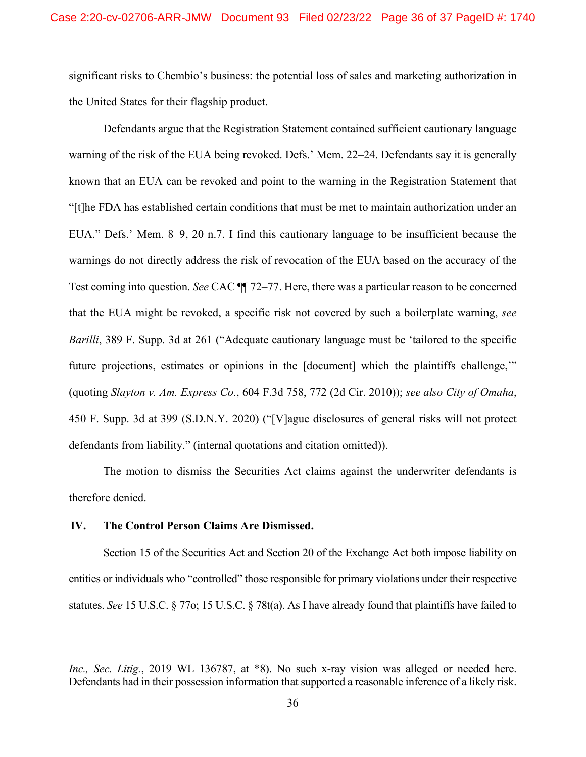significant risks to Chembio's business: the potential loss of sales and marketing authorization in the United States for their flagship product.

Defendants argue that the Registration Statement contained sufficient cautionary language warning of the risk of the EUA being revoked. Defs.' Mem. 22–24. Defendants say it is generally known that an EUA can be revoked and point to the warning in the Registration Statement that "[t]he FDA has established certain conditions that must be met to maintain authorization under an EUA." Defs.' Mem. 8–9, 20 n.7. I find this cautionary language to be insufficient because the warnings do not directly address the risk of revocation of the EUA based on the accuracy of the Test coming into question. *See* CAC ¶¶ 72–77. Here, there was a particular reason to be concerned that the EUA might be revoked, a specific risk not covered by such a boilerplate warning, *see Barilli*, 389 F. Supp. 3d at 261 ("Adequate cautionary language must be 'tailored to the specific future projections, estimates or opinions in the [document] which the plaintiffs challenge," (quoting *Slayton v. Am. Express Co.*, 604 F.3d 758, 772 (2d Cir. 2010)); *see also City of Omaha*, 450 F. Supp. 3d at 399 (S.D.N.Y. 2020) ("[V]ague disclosures of general risks will not protect defendants from liability." (internal quotations and citation omitted)).

The motion to dismiss the Securities Act claims against the underwriter defendants is therefore denied.

# **IV. The Control Person Claims Are Dismissed.**

Section 15 of the Securities Act and Section 20 of the Exchange Act both impose liability on entities or individuals who "controlled" those responsible for primary violations under their respective statutes. *See* 15 U.S.C. § 77o; 15 U.S.C. § 78t(a). As I have already found that plaintiffs have failed to

*Inc., Sec. Litig.*, 2019 WL 136787, at \*8). No such x-ray vision was alleged or needed here. Defendants had in their possession information that supported a reasonable inference of a likely risk.